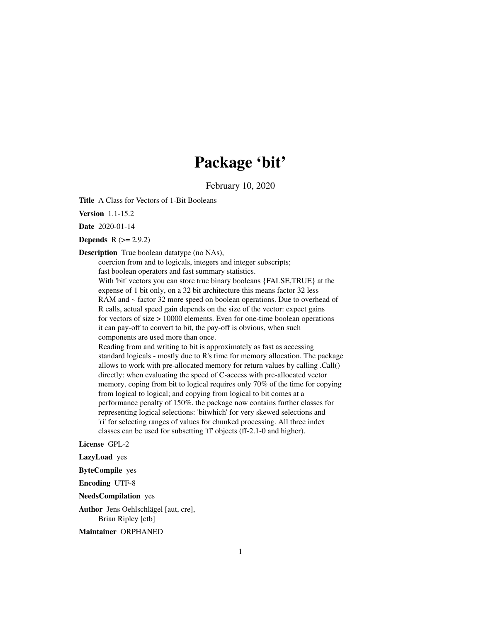# Package 'bit'

February 10, 2020

<span id="page-0-0"></span>Title A Class for Vectors of 1-Bit Booleans

Version 1.1-15.2

Date 2020-01-14

**Depends**  $R (= 2.9.2)$ 

Description True boolean datatype (no NAs),

coercion from and to logicals, integers and integer subscripts; fast boolean operators and fast summary statistics. With 'bit' vectors you can store true binary booleans {FALSE,TRUE} at the expense of 1 bit only, on a 32 bit architecture this means factor 32 less RAM and ~ factor 32 more speed on boolean operations. Due to overhead of R calls, actual speed gain depends on the size of the vector: expect gains for vectors of size > 10000 elements. Even for one-time boolean operations it can pay-off to convert to bit, the pay-off is obvious, when such components are used more than once.

Reading from and writing to bit is approximately as fast as accessing standard logicals - mostly due to R's time for memory allocation. The package allows to work with pre-allocated memory for return values by calling .Call() directly: when evaluating the speed of C-access with pre-allocated vector memory, coping from bit to logical requires only 70% of the time for copying from logical to logical; and copying from logical to bit comes at a performance penalty of 150%. the package now contains further classes for representing logical selections: 'bitwhich' for very skewed selections and 'ri' for selecting ranges of values for chunked processing. All three index classes can be used for subsetting 'ff' objects (ff-2.1-0 and higher).

License GPL-2

LazyLoad yes

ByteCompile yes

Encoding UTF-8

NeedsCompilation yes

Author Jens Oehlschlägel [aut, cre], Brian Ripley [ctb]

Maintainer ORPHANED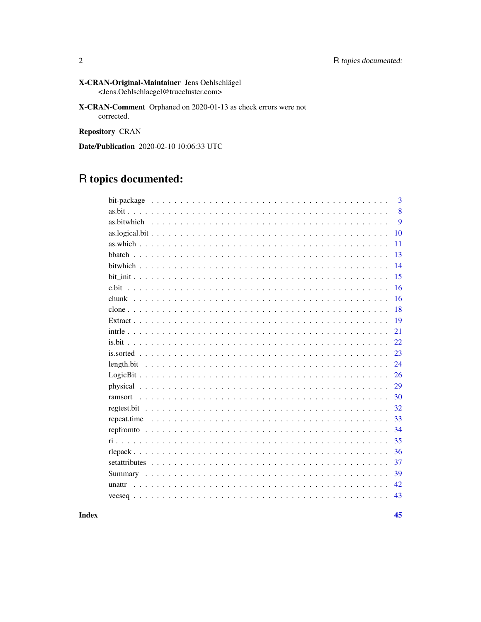- X-CRAN-Original-Maintainer Jens Oehlschlägel <Jens.Oehlschlaegel@truecluster.com>
- X-CRAN-Comment Orphaned on 2020-01-13 as check errors were not corrected.

Repository CRAN

Date/Publication 2020-02-10 10:06:33 UTC

# R topics documented:

|         | 3  |
|---------|----|
|         | 8  |
|         | 9  |
|         | 10 |
|         | 11 |
|         | 13 |
|         | 14 |
|         | 15 |
| c.bit   | 16 |
|         | 16 |
|         | 18 |
|         | 19 |
|         | 21 |
|         | 22 |
|         | 23 |
|         | 24 |
|         | 26 |
|         | 29 |
| ramsort | 30 |
|         | 32 |
|         | 33 |
|         | 34 |
|         | 35 |
|         | 36 |
|         | 37 |
|         | 39 |
|         | 42 |
|         | 43 |

**Index**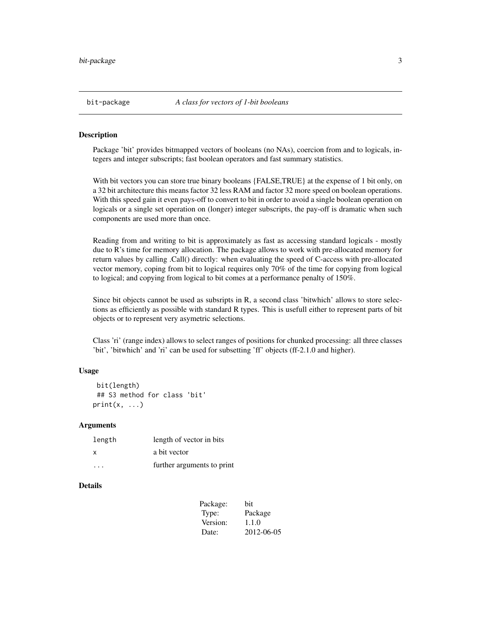<span id="page-2-1"></span><span id="page-2-0"></span>

Package 'bit' provides bitmapped vectors of booleans (no NAs), coercion from and to logicals, integers and integer subscripts; fast boolean operators and fast summary statistics.

With bit vectors you can store true binary booleans {FALSE,TRUE} at the expense of 1 bit only, on a 32 bit architecture this means factor 32 less RAM and factor 32 more speed on boolean operations. With this speed gain it even pays-off to convert to bit in order to avoid a single boolean operation on logicals or a single set operation on (longer) integer subscripts, the pay-off is dramatic when such components are used more than once.

Reading from and writing to bit is approximately as fast as accessing standard logicals - mostly due to R's time for memory allocation. The package allows to work with pre-allocated memory for return values by calling .Call() directly: when evaluating the speed of C-access with pre-allocated vector memory, coping from bit to logical requires only 70% of the time for copying from logical to logical; and copying from logical to bit comes at a performance penalty of 150%.

Since bit objects cannot be used as subsripts in R, a second class 'bitwhich' allows to store selections as efficiently as possible with standard R types. This is usefull either to represent parts of bit objects or to represent very asymetric selections.

Class 'ri' (range index) allows to select ranges of positions for chunked processing: all three classes 'bit', 'bitwhich' and 'ri' can be used for subsetting 'ff' objects (ff-2.1.0 and higher).

#### Usage

```
bit(length)
## S3 method for class 'bit'
print(x, \ldots)
```
#### Arguments

| length | length of vector in bits   |
|--------|----------------------------|
| x      | a bit vector               |
| .      | further arguments to print |

#### **Details**

| bit        |
|------------|
| Package    |
| 1.1.0      |
| 2012-06-05 |
|            |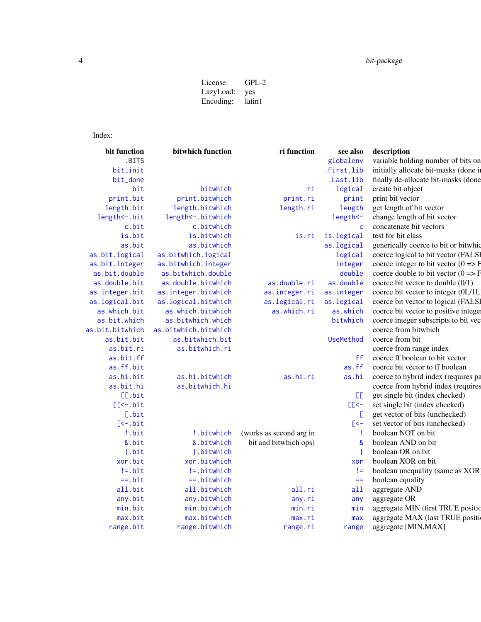# <span id="page-3-0"></span>4 bit-package

| $GPL-2$ |
|---------|
| yes     |
| latin1  |
|         |

# Index:

| bit function     | bitwhich function    | ri function             | see also         | description                                      |
|------------------|----------------------|-------------------------|------------------|--------------------------------------------------|
| .BITS            |                      |                         | globalenv        | variable holding number of bits on               |
| bit_init         |                      |                         | .First.lib       | initially allocate bit-masks (done in            |
| bit_done         |                      |                         | .Last.lib        | finally de-allocate bit-masks (done              |
| bit              | bitwhich             | ri                      | logical          | create bit object                                |
| print.bit        | print.bitwhich       | print.ri                | print            | print bit vector                                 |
| length.bit       | length.bitwhich      | length.ri               | length           | get length of bit vector                         |
| length <-. bit   | length <-. bitwhich  |                         | length <-        | change length of bit vector                      |
| c.bit            | c.bitwhich           |                         | $\mathsf{C}$     | concatenate bit vectors                          |
| is.bit           | is.bitwhich          | is.ri                   | is.logical       | test for bit class                               |
| as.bit           | as.bitwhich          |                         | as.logical       | generically coerce to bit or bitwhic             |
| as.bit.logical   | as.bitwhich.logical  |                         | logical          | coerce logical to bit vector (FALSI              |
| as.bit.integer   | as.bitwhich.integer  |                         | integer          | coerce integer to bit vector $(0 \Rightarrow F)$ |
| as.bit.double    | as.bitwhich.double   |                         | double           | coerce double to bit vector $(0 \Rightarrow F)$  |
| as.double.bit    | as.double.bitwhich   | as.double.ri            | as.double        | coerce bit vector to double (0/1)                |
| as.integer.bit   | as.integer.bitwhich  | as.integer.ri           | as.integer       | coerce bit vector to integer (0L/1L              |
| as.logical.bit   | as.logical.bitwhich  | as.logical.ri           | as.logical       | coerce bit vector to logical (FALSI              |
| as.which.bit     | as.which.bitwhich    | as.which.ri             | as.which         | coerce bit vector to positive intege             |
| as.bit.which     | as.bitwhich.which    |                         | bitwhich         | coerce integer subscripts to bit vec             |
| as.bit.bitwhich  | as.bitwhich.bitwhich |                         |                  | coerce from bitwhich                             |
| as.bit.bit       | as.bitwhich.bit      |                         | <b>UseMethod</b> | coerce from bit                                  |
| as.bit.ri        | as.bitwhich.ri       |                         |                  | coerce from range index                          |
| as.bit.ff        |                      |                         | ff               | coerce ff boolean to bit vector                  |
| as.ff.bit        |                      |                         | as.ff            | coerce bit vector to ff boolean                  |
| as.hi.bit        | as.hi.bitwhich       | as.hi.ri                | as.hi            | coerce to hybrid index (requires pa              |
| as.bit.hi        | as.bitwhich.hi       |                         |                  | coerce from hybrid index (requires               |
| [[.bit           |                      |                         | EE.              | get single bit (index checked)                   |
| $[$ [ $<$ -.bit] |                      |                         | $E<$ -           | set single bit (index checked)                   |
| [.bit            |                      |                         | E.               | get vector of bits (unchecked)                   |
| $[-5, 0]$        |                      |                         | $\mathsf{K}$     | set vector of bits (unchecked)                   |
| !.bit            | !.bitwhich           | (works as second arg in |                  | boolean NOT on bit                               |
| &.bit            | &.bitwhich           | bit and bitwhich ops)   | &                | boolean AND on bit                               |
| . bit            | .bitwhich            |                         |                  | boolean OR on bit                                |
| xor.bit          | xor.bitwhich         |                         | xor              | boolean XOR on bit                               |
| $!=$ .bit        | !=.bitwhich          |                         | $!=$             | boolean unequality (same as XOR)                 |
| $==.$ bit        | $==.$ bitwhich       |                         | $==$             | boolean equality                                 |
| all.bit          | all.bitwhich         | all.ri                  | a11              | aggregate AND                                    |
| any.bit          | any.bitwhich         | any.ri                  | any              | aggregate OR                                     |
| min.bit          | min.bitwhich         | min.ri                  | min              | aggregate MIN (first TRUE position               |
| max. bit         | max.bitwhich         | max.ri                  | max              | aggregate MAX (last TRUE position                |
| range.bit        | range.bitwhich       | range.ri                | range            | aggregate [MIN, MAX]                             |
|                  |                      |                         |                  |                                                  |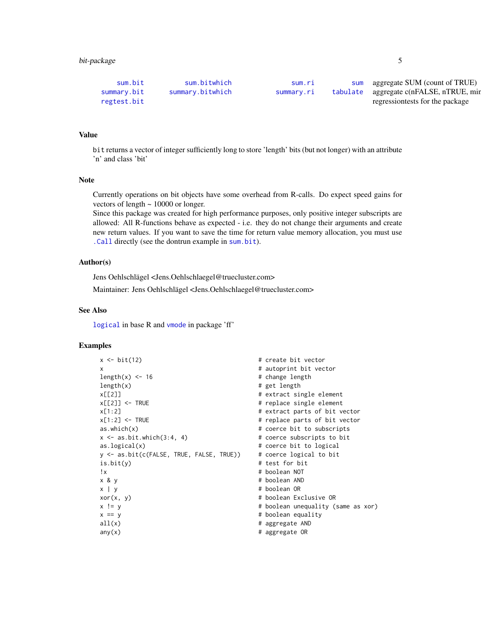<span id="page-4-0"></span>

| sum.bit     | sum.bitwhich     | sum.r <sub>1</sub> | sum aggregate SUM (count of TRUE)       |
|-------------|------------------|--------------------|-----------------------------------------|
| summary.bit | summary.bitwhich | summary.ri         | tabulate aggregate c(nFALSE, nTRUE, min |
| regtest.bit |                  |                    | regressiontests for the package         |

### Value

bit returns a vector of integer sufficiently long to store 'length' bits (but not longer) with an attribute 'n' and class 'bit'

#### Note

Currently operations on bit objects have some overhead from R-calls. Do expect speed gains for vectors of length  $\sim 10000$  or longer.

Since this package was created for high performance purposes, only positive integer subscripts are allowed: All R-functions behave as expected - i.e. they do not change their arguments and create new return values. If you want to save the time for return value memory allocation, you must use [.Call](#page-0-0) directly (see the dontrun example in [sum.bit](#page-38-1)).

#### Author(s)

Jens Oehlschlägel <Jens.Oehlschlaegel@truecluster.com>

Maintainer: Jens Oehlschlägel <Jens.Oehlschlaegel@truecluster.com>

#### See Also

[logical](#page-0-0) in base R and [vmode](#page-0-0) in package 'ff'

```
x \leq bit(12) # create bit vector
x \overline{a} x
length(x) < -16 # change length
length(x) # get length
x[[2]] # extract single element
x[[2]] <- TRUE # replace single element
x[1:2] \times[1:2] \times TRUE \times[1:2] \times TRUE \times[1:2] \times TRUE \times[1:2] \times TRUE \times TRUE \times TRUE \times TRUE \times TRUE \times TRUE \times TRUE \times TRUE \times TRUE \times TRUE \times TRUE \times TRUE \times TRUE \times TRUE \times 
                                        # replace parts of bit vector
as.which(x) \qquad \qquad \qquad \qquad \qquad \qquad \qquad \qquad \qquad \qquad \qquad \qquad \qquad \qquad \qquad \qquad \qquad \qquad \qquad \qquad \qquad \qquad \qquad \qquad \qquad \qquad \qquad \qquad \qquad \qquad \qquad \qquad \qquad \qquad \qquad 
x \le - as.bit.which(3:4, 4) \qquad # coerce subscripts to bit
as.logical(x) # coerce bit to logical
y <- as.bit(c(FALSE, TRUE, FALSE, TRUE)) # coerce logical to bit
is.bit(y) # test for bit
!x # boolean NOT
x & y # boolean AND
x | y \qquad # boolean OR
xor(x, y) \qquad # boolean Exclusive OR
x != y \begin{array}{ccc} x & = y & \end{array} \begin{array}{ccc} x & = y & \end{array} \begin{array}{ccc} \end{array} # boolean unequality (same as xor)
x == y # boolean equality
all(x) # aggregate AND
any(x) # aggregate OR
```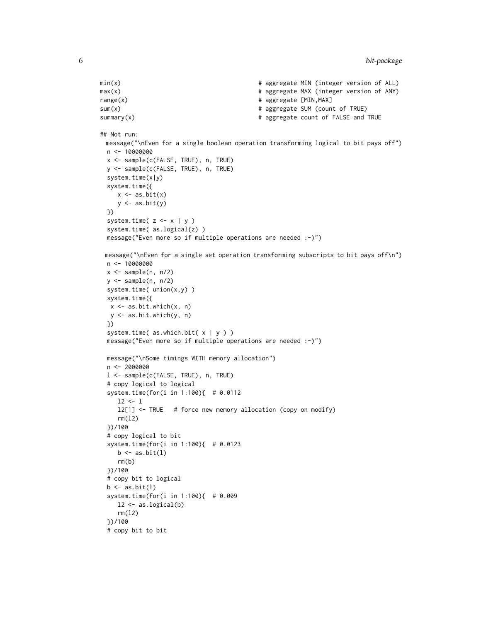```
min(x) # aggregate MIN (integer version of ALL)
max(x) \qquad # aggregate MAX (integer version of ANY)
range(x) \qquad # aggregate [MIN, MAX]
sum(x) \# aggregate SUM (count of TRUE)
summary(x) \qquad # aggregate count of FALSE and TRUE
## Not run:
 message("\nEven for a single boolean operation transforming logical to bit pays off")
 n <- 10000000
 x <- sample(c(FALSE, TRUE), n, TRUE)
 y <- sample(c(FALSE, TRUE), n, TRUE)
  system.time(x|y)
  system.time({
    x \leftarrow as.bit(x)y \leftarrow as.bit(y)})
  system.time(z \leq x | y)
 system.time( as.logical(z) )
 message("Even more so if multiple operations are needed :-)")
 message("\nEven for a single set operation transforming subscripts to bit pays off\n")
 n <- 10000000
 x \leftarrow sample(n, n/2)
 y <- sample(n, n/2)
  system.time( union(x,y) )
  system.time({
  x \leq -as.bit.which(x, n)y <- as.bit.which(y, n)
 })
 system.time( as.which.bit( x | y ) )
 message("Even more so if multiple operations are needed :-)")
 message("\nSome timings WITH memory allocation")
 n <- 2000000
 l <- sample(c(FALSE, TRUE), n, TRUE)
  # copy logical to logical
  system.time(for(i in 1:100){ # 0.0112
    12 < -1l2[1] <- TRUE # force new memory allocation (copy on modify)
    rm(l2)
  })/100
  # copy logical to bit
  system.time(for(i in 1:100){ # 0.0123
    b \leftarrow as.bit(1)rm(b)
 })/100
  # copy bit to logical
 b \leftarrow as.bit(1)system.time(for(i in 1:100){ # 0.009
    12 \leftarrow as.logical(b)rm(l2)
  })/100
  # copy bit to bit
```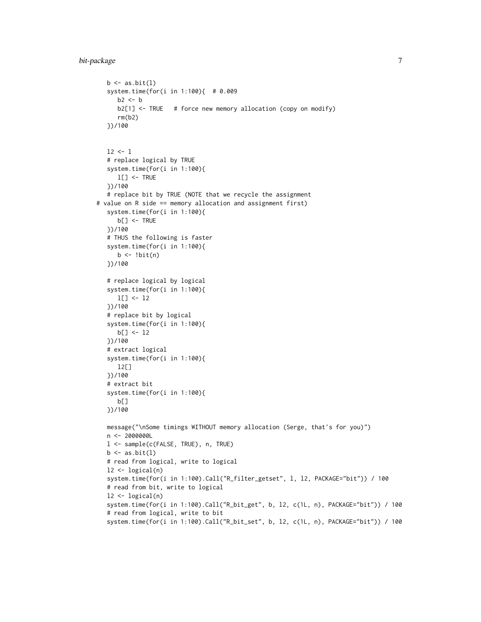# bit-package 7

```
b \leftarrow as.bit(1)system.time(for(i in 1:100){ # 0.009
     b2 \le - bb2[1] <- TRUE # force new memory allocation (copy on modify)
      rm(b2)
  })/100
  12 < -1# replace logical by TRUE
   system.time(for(i in 1:100){
      l[] <- TRUE
   })/100
   # replace bit by TRUE (NOTE that we recycle the assignment
# value on R side == memory allocation and assignment first)
   system.time(for(i in 1:100){
      b[] <- TRUE
  })/100
   # THUS the following is faster
   system.time(for(i in 1:100){
     b \leftarrow !bit(n)})/100
   # replace logical by logical
   system.time(for(i in 1:100){
     l[] <- l2
   })/100
   # replace bit by logical
   system.time(for(i in 1:100){
     b[] <- l2
   })/100
   # extract logical
   system.time(for(i in 1:100){
      l2[]
  })/100
   # extract bit
   system.time(for(i in 1:100){
      b[]
   })/100
  message("\nSome timings WITHOUT memory allocation (Serge, that's for you)")
  n <- 2000000L
  l <- sample(c(FALSE, TRUE), n, TRUE)
  b \leftarrow as.bit(1)# read from logical, write to logical
  l2 \leftarrow logical(n)system.time(for(i in 1:100).Call("R_filter_getset", l, l2, PACKAGE="bit")) / 100
   # read from bit, write to logical
  12 \leftarrow \text{logical}(n)system.time(for(i in 1:100).Call("R_bit_get", b, l2, c(1L, n), PACKAGE="bit")) / 100
   # read from logical, write to bit
   system.time(for(i in 1:100).Call("R_bit_set", b, l2, c(1L, n), PACKAGE="bit")) / 100
```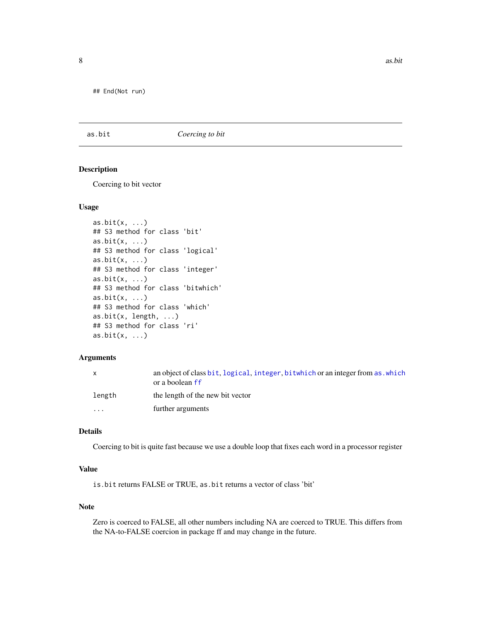<span id="page-7-0"></span>## End(Not run)

<span id="page-7-1"></span>as.bit *Coercing to bit*

#### <span id="page-7-2"></span>Description

Coercing to bit vector

#### Usage

```
as.bit(x, ...)
## S3 method for class 'bit'
as.bit(x, ...)
## S3 method for class 'logical'
as. bit(x, ...)## S3 method for class 'integer'
as.bit(x, \ldots)## S3 method for class 'bitwhich'
as.bit(x, \ldots)## S3 method for class 'which'
as.bit(x, \text{ length}, \ldots)## S3 method for class 'ri'
as. bit(x, ...)
```
#### Arguments

|          | an object of class bit, logical, integer, bitwhich or an integer from as which<br>or a boolean ff |
|----------|---------------------------------------------------------------------------------------------------|
| length   | the length of the new bit vector                                                                  |
| $\cdots$ | further arguments                                                                                 |

#### Details

Coercing to bit is quite fast because we use a double loop that fixes each word in a processor register

# Value

is.bit returns FALSE or TRUE, as.bit returns a vector of class 'bit'

#### Note

Zero is coerced to FALSE, all other numbers including NA are coerced to TRUE. This differs from the NA-to-FALSE coercion in package ff and may change in the future.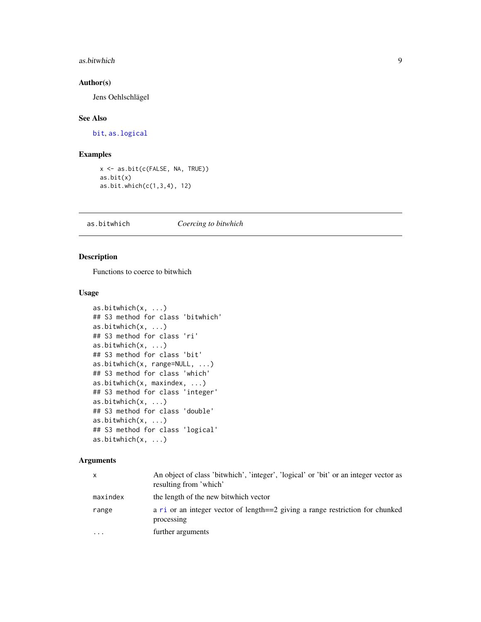#### <span id="page-8-0"></span>as.bitwhich 9

# Author(s)

Jens Oehlschlägel

#### See Also

[bit](#page-2-1), [as.logical](#page-0-0)

# Examples

```
x <- as.bit(c(FALSE, NA, TRUE))
as.bit(x)
as.bit.which(c(1,3,4), 12)
```
<span id="page-8-1"></span>as.bitwhich *Coercing to bitwhich*

# <span id="page-8-2"></span>Description

Functions to coerce to bitwhich

#### Usage

```
as.bitwhich(x, ...)
## S3 method for class 'bitwhich'
as.bitwhich(x, ...)
## S3 method for class 'ri'
as.bitwhich(x, ...)
## S3 method for class 'bit'
as.bitwhich(x, range=NULL, ...)
## S3 method for class 'which'
as.bitwhich(x, maxindex, ...)
## S3 method for class 'integer'
as.bitwhich(x, ...)
## S3 method for class 'double'
as.bitwhich(x, ...)
## S3 method for class 'logical'
as.bitwhich(x, ...)
```
#### Arguments

| x         | An object of class 'bitwhich', 'integer', 'logical' or 'bit' or an integer vector as<br>resulting from 'which' |
|-----------|----------------------------------------------------------------------------------------------------------------|
| maxindex  | the length of the new bitwhich vector                                                                          |
| range     | a ri or an integer vector of length==2 giving a range restriction for chunked<br>processing                    |
| $\ddotsc$ | further arguments                                                                                              |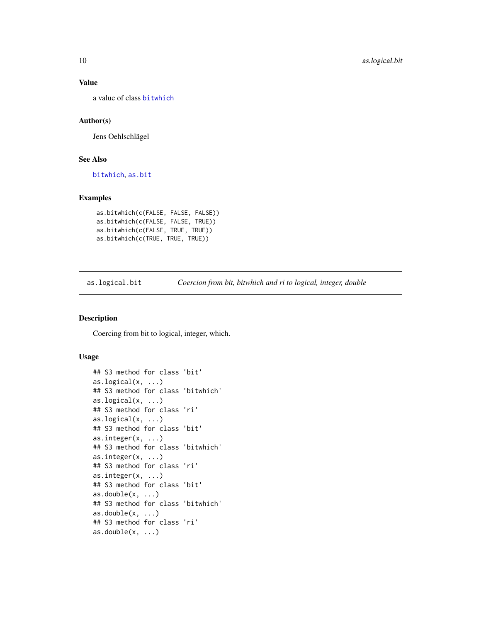#### Value

a value of class [bitwhich](#page-13-1)

# Author(s)

Jens Oehlschlägel

# See Also

[bitwhich](#page-13-1), [as.bit](#page-7-1)

# Examples

```
as.bitwhich(c(FALSE, FALSE, FALSE))
as.bitwhich(c(FALSE, FALSE, TRUE))
as.bitwhich(c(FALSE, TRUE, TRUE))
as.bitwhich(c(TRUE, TRUE, TRUE))
```
<span id="page-9-2"></span>as.logical.bit *Coercion from bit, bitwhich and ri to logical, integer, double*

#### <span id="page-9-1"></span>Description

Coercing from bit to logical, integer, which.

#### Usage

```
## S3 method for class 'bit'
as.logical(x, ...)
## S3 method for class 'bitwhich'
as.logical(x, ...)
## S3 method for class 'ri'
as.logical(x, \ldots)## S3 method for class 'bit'
as.integer(x, ...)
## S3 method for class 'bitwhich'
as.integer(x, ...)
## S3 method for class 'ri'
as.integer(x, \ldots)## S3 method for class 'bit'
as.double(x, ...)## S3 method for class 'bitwhich'
as.double(x, ...)## S3 method for class 'ri'
as.double(x, ...)
```
<span id="page-9-0"></span>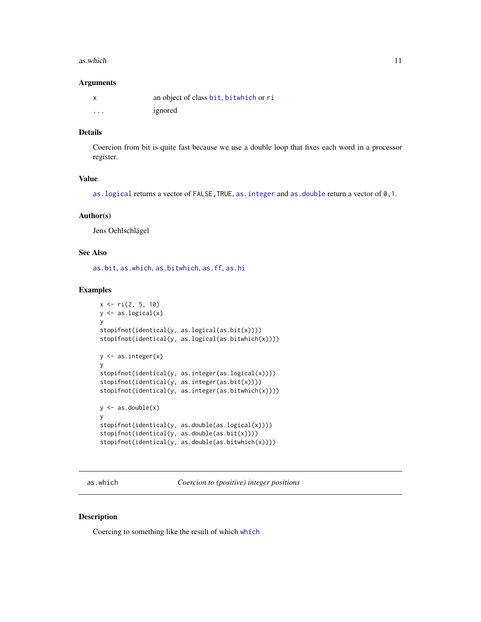#### <span id="page-10-0"></span>as.which 11

#### Arguments

| X                       | an object of class bit, bitwhich or ri |
|-------------------------|----------------------------------------|
| $\cdot$ $\cdot$ $\cdot$ | ignored                                |

#### Details

Coercion from bit is quite fast because we use a double loop that fixes each word in a processor register.

# Value

as. logical returns a vector of FALSE, TRUE, as. integer and as. double return a vector of 0, 1.

#### Author(s)

Jens Oehlschlägel

#### See Also

[as.bit](#page-7-1), [as.which](#page-10-2), [as.bitwhich](#page-8-1), [as.ff](#page-0-0), [as.hi](#page-0-0)

# Examples

```
x \leq -r i(2, 5, 10)y <- as.logical(x)
y
stopifnot(identical(y, as.logical(as.bit(x))))
stopifnot(identical(y, as.logical(as.bitwhich(x))))
y \leftarrow as.integer(x)y
stopifnot(identical(y, as.integer(as.logical(x))))
stopifnot(identical(y, as.integer(as.bit(x))))
stopifnot(identical(y, as.integer(as.bitwhich(x))))
y \leftarrow as.double(x)y
stopifnot(identical(y, as.double(as.logical(x))))
stopifnot(identical(y, as.double(as.bit(x))))
stopifnot(identical(y, as.double(as.bitwhich(x))))
```
<span id="page-10-2"></span>as.which *Coercion to (positive) integer positions*

#### <span id="page-10-1"></span>Description

Coercing to something like the result of which [which](#page-0-0)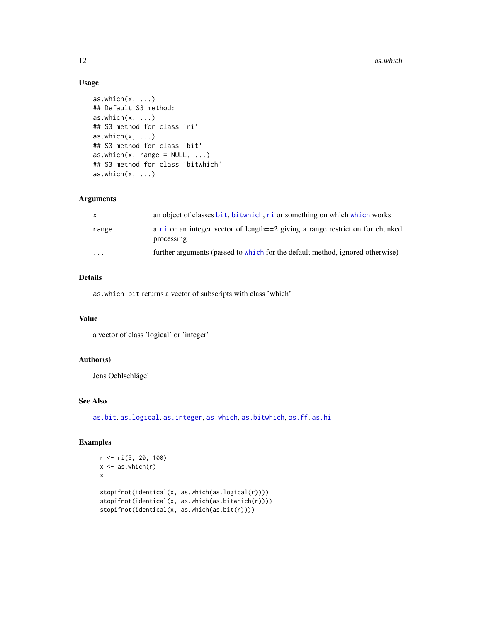# Usage

```
as.which(x, \ldots)## Default S3 method:
as.which(x, \ldots)## S3 method for class 'ri'
as.which(x, \ldots)## S3 method for class 'bit'
as.which(x, range = NULL, ...)## S3 method for class 'bitwhich'
as.which(x, \ldots)
```
# Arguments

| X        | an object of classes bit, bitwhich, ri or something on which which works                    |
|----------|---------------------------------------------------------------------------------------------|
| range    | a ri or an integer vector of length==2 giving a range restriction for chunked<br>processing |
| $\cdots$ | further arguments (passed to which for the default method, ignored otherwise)               |

# Details

as.which.bit returns a vector of subscripts with class 'which'

# Value

a vector of class 'logical' or 'integer'

# Author(s)

Jens Oehlschlägel

# See Also

[as.bit](#page-7-1), [as.logical](#page-0-0), [as.integer](#page-0-0), [as.which](#page-10-2), [as.bitwhich](#page-8-1), [as.ff](#page-0-0), [as.hi](#page-0-0)

```
r <- ri(5, 20, 100)
x \leftarrow as.which(r)x
stopifnot(identical(x, as.which(as.logical(r))))
stopifnot(identical(x, as.which(as.bitwhich(r))))
stopifnot(identical(x, as.which(as.bit(r))))
```
<span id="page-11-0"></span>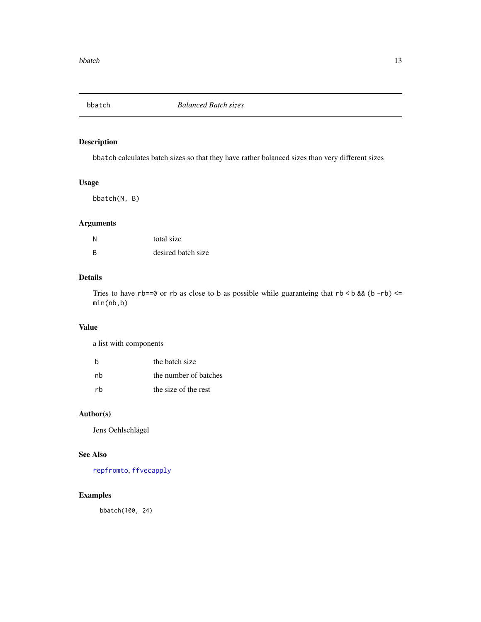<span id="page-12-1"></span><span id="page-12-0"></span>

bbatch calculates batch sizes so that they have rather balanced sizes than very different sizes

# Usage

bbatch(N, B)

# Arguments

| N        | total size         |
|----------|--------------------|
| <b>B</b> | desired batch size |

# Details

Tries to have rb==0 or rb as close to b as possible while guaranteing that  $rb < b$  && (b -rb) <= min(nb,b)

## Value

a list with components

| h  | the batch size        |
|----|-----------------------|
| nh | the number of batches |
| rh | the size of the rest  |

# Author(s)

Jens Oehlschlägel

# See Also

[repfromto](#page-33-1), [ffvecapply](#page-0-0)

# Examples

bbatch(100, 24)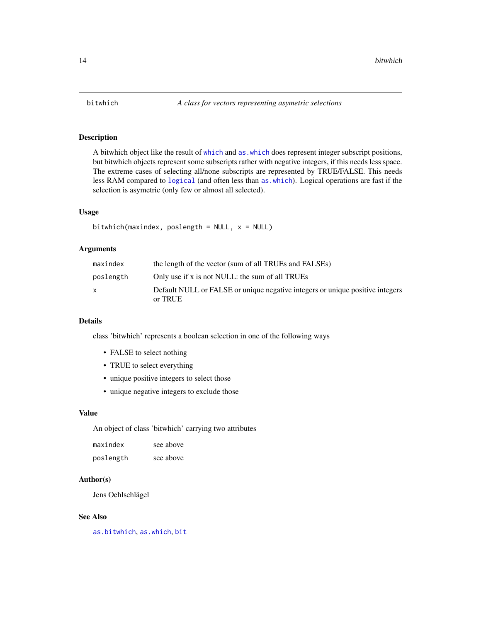<span id="page-13-2"></span><span id="page-13-1"></span><span id="page-13-0"></span>

A bitwhich object like the result of [which](#page-0-0) and [as.which](#page-10-2) does represent integer subscript positions, but bitwhich objects represent some subscripts rather with negative integers, if this needs less space. The extreme cases of selecting all/none subscripts are represented by TRUE/FALSE. This needs less RAM compared to [logical](#page-0-0) (and often less than [as.which](#page-10-2)). Logical operations are fast if the selection is asymetric (only few or almost all selected).

# Usage

```
bitwhich(maxindex, poslength = NULL, x = NULL)
```
#### Arguments

| maxindex  | the length of the vector (sum of all TRUEs and FALSEs)                                   |
|-----------|------------------------------------------------------------------------------------------|
| poslength | Only use if x is not NULL: the sum of all TRUEs                                          |
|           | Default NULL or FALSE or unique negative integers or unique positive integers<br>or TRUE |

#### Details

class 'bitwhich' represents a boolean selection in one of the following ways

- FALSE to select nothing
- TRUE to select everything
- unique positive integers to select those
- unique negative integers to exclude those

#### Value

An object of class 'bitwhich' carrying two attributes

| maxindex  | see above |
|-----------|-----------|
| poslength | see above |

#### Author(s)

Jens Oehlschlägel

# See Also

[as.bitwhich](#page-8-1), [as.which](#page-10-2), [bit](#page-2-1)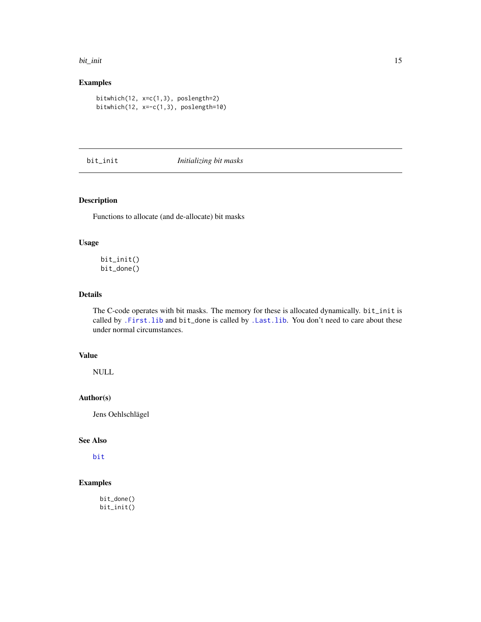#### <span id="page-14-0"></span>bit\_init 15

# Examples

```
bitwhich(12, x=c(1,3), poslength=2)
bitwhich(12, x=-c(1,3), poslength=10)
```
<span id="page-14-1"></span>bit\_init *Initializing bit masks*

# <span id="page-14-2"></span>Description

Functions to allocate (and de-allocate) bit masks

# Usage

bit\_init() bit\_done()

# Details

The C-code operates with bit masks. The memory for these is allocated dynamically. bit\_init is called by [.First.lib](#page-0-0) and bit\_done is called by [.Last.lib](#page-0-0). You don't need to care about these under normal circumstances.

# Value

NULL

# Author(s)

Jens Oehlschlägel

# See Also

[bit](#page-2-1)

# Examples

bit\_done() bit\_init()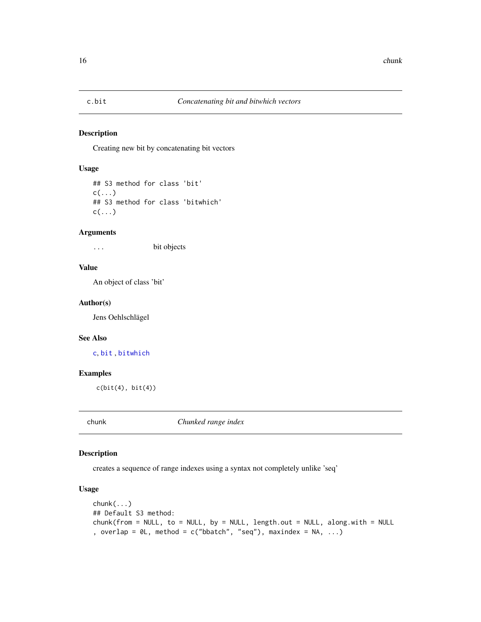<span id="page-15-2"></span><span id="page-15-1"></span><span id="page-15-0"></span>

Creating new bit by concatenating bit vectors

# Usage

```
## S3 method for class 'bit'
c(\ldots)## S3 method for class 'bitwhich'
c(\ldots)
```
#### Arguments

... bit objects

#### Value

An object of class 'bit'

#### Author(s)

Jens Oehlschlägel

#### See Also

[c](#page-0-0), [bit](#page-2-1) , [bitwhich](#page-13-1)

#### Examples

 $c(bit(4), bit(4))$ 

chunk *Chunked range index*

# Description

creates a sequence of range indexes using a syntax not completely unlike 'seq'

#### Usage

```
chunk(...)
## Default S3 method:
chunk(from = NULL, to = NULL, by = NULL, length.out = NULL, along.with = NULL
, overlap = \emptyset L, method = c("bbatch", "seq"), maxindex = NA, ...)
```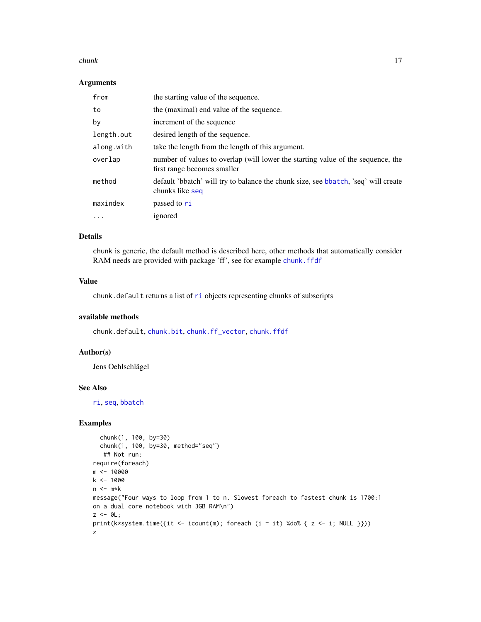#### <span id="page-16-0"></span>chunk 17

#### Arguments

| from       | the starting value of the sequence.                                                                            |
|------------|----------------------------------------------------------------------------------------------------------------|
| to         | the (maximal) end value of the sequence.                                                                       |
| by         | increment of the sequence                                                                                      |
| length.out | desired length of the sequence.                                                                                |
| along.with | take the length from the length of this argument.                                                              |
| overlap    | number of values to overlap (will lower the starting value of the sequence, the<br>first range becomes smaller |
| method     | default 'bbatch' will try to balance the chunk size, see bbatch, 'seq' will create<br>chunks like seq          |
| maxindex   | passed to ri                                                                                                   |
| $\cdots$   | ignored                                                                                                        |

#### Details

chunk is generic, the default method is described here, other methods that automatically consider RAM needs are provided with package 'ff', see for example [chunk.ffdf](#page-0-0)

#### Value

chunk.default returns a list of [ri](#page-34-1) objects representing chunks of subscripts

#### available methods

chunk.default, [chunk.bit](#page-0-0), [chunk.ff\\_vector](#page-0-0), [chunk.ffdf](#page-0-0)

#### Author(s)

Jens Oehlschlägel

#### See Also

[ri](#page-34-1), [seq](#page-0-0), [bbatch](#page-12-1)

```
chunk(1, 100, by=30)
  chunk(1, 100, by=30, method="seq")
  ## Not run:
require(foreach)
m <- 10000
k <- 1000
n \leq -m*kmessage("Four ways to loop from 1 to n. Slowest foreach to fastest chunk is 1700:1
on a dual core notebook with 3GB RAM\n")
z \le -\theta L;
print(k*system.time({it <- icount(m); foreach (i = it) %do% { z <- i; NULL }}))
z
```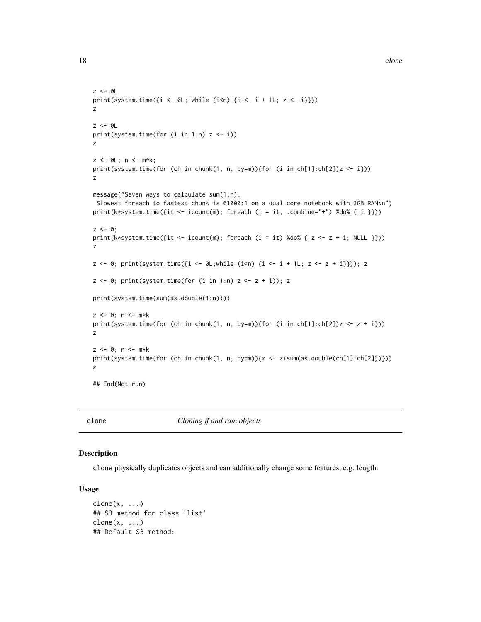```
z < - \emptysetL
print(system.time(\{i \le \theta L; while (i\theta) \{i \le -i + 1L; z \le i\}))
z
z < - \theta Lprint(system.time(for (i \text{ in } 1:n) z \leftarrow i))
z
z <- 0L; n <- m*k;
print(system.time(for (ch in chunk(1, n, by=m)){for (i in ch[1]:ch[2])z <- i}))
z
message("Seven ways to calculate sum(1:n).
Slowest foreach to fastest chunk is 61000:1 on a dual core notebook with 3GB RAM\n")
print(k*system.time({it <- icount(m); foreach (i = it, .combine="+") %do% { i }}))
z \leftarrow 0;
print(k*system.time({it <- icount(m); foreach (i = it) %do% { z <- z + i; NULL }}))
z
z \leftarrow 0; print(system.time({i <- 0L;while (i<n) {i <- i + 1L; z \leftarrow z + i}})); z
z \leftarrow \emptyset; print(system.time(for (i in 1:n) z \leftarrow z + i)); z
print(system.time(sum(as.double(1:n))))
z \leq 0; n \leq -m*kprint(system.time(for (ch in chunk(1, n, by=m)){for (i in ch[1]:ch[2])z <- z + i}))
z
z \le 0; n \le -m*kprint(system.time(for (ch in chunk(1, n, by=m)){z \leftarrow z+sum(as.double(ch[1]:ch[2]))\})z
## End(Not run)
```
clone *Cloning ff and ram objects*

# Description

clone physically duplicates objects and can additionally change some features, e.g. length.

#### Usage

```
clone(x, \ldots)## S3 method for class 'list'
clone(x, \ldots)## Default S3 method:
```
<span id="page-17-0"></span>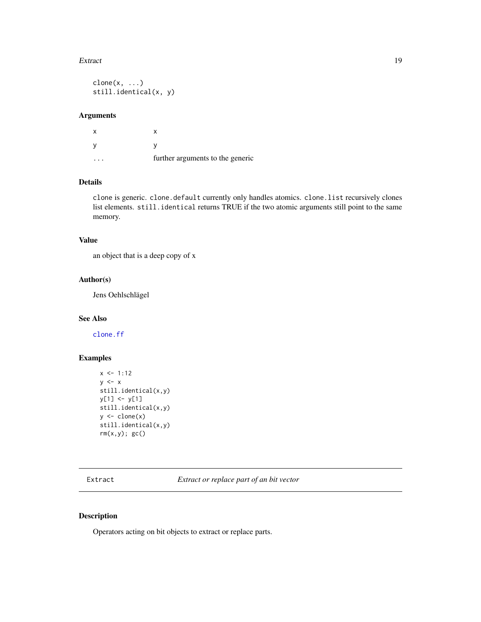#### <span id="page-18-0"></span>Extract 19

 $clone(x, \ldots)$ still.identical(x, y)

# Arguments

x x y y ... further arguments to the generic

# Details

clone is generic. clone.default currently only handles atomics. clone.list recursively clones list elements. still.identical returns TRUE if the two atomic arguments still point to the same memory.

# Value

an object that is a deep copy of x

#### Author(s)

Jens Oehlschlägel

#### See Also

[clone.ff](#page-0-0)

# Examples

```
x \le -1:12y \leq -xstill.identical(x,y)
y[1] <- y[1]
still.identical(x,y)
y \leftarrow clone(x)still.identical(x,y)
rm(x,y); gc()
```
<span id="page-18-2"></span>Extract *Extract or replace part of an bit vector*

# <span id="page-18-1"></span>Description

Operators acting on bit objects to extract or replace parts.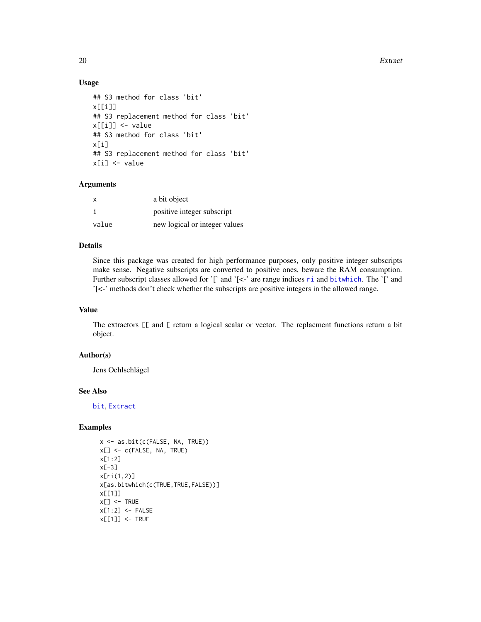20 Extract

#### Usage

```
## S3 method for class 'bit'
x[[i]]
## S3 replacement method for class 'bit'
x[[i]] <- value
## S3 method for class 'bit'
x[i]
## S3 replacement method for class 'bit'
x[i] <- value
```
#### Arguments

| х     | a bit object                  |
|-------|-------------------------------|
|       | positive integer subscript    |
| value | new logical or integer values |

# Details

Since this package was created for high performance purposes, only positive integer subscripts make sense. Negative subscripts are converted to positive ones, beware the RAM consumption. Further subsc[ri](#page-34-1)pt classes allowed for  $\lceil \cdot \rceil$  and  $\lceil \cdot \rceil$  are range indices ri and [bitwhich](#page-13-1). The  $\lceil \cdot \rceil$  and '[<-' methods don't check whether the subscripts are positive integers in the allowed range.

#### Value

The extractors [[ and [ return a logical scalar or vector. The replacment functions return a bit object.

# Author(s)

Jens Oehlschlägel

#### See Also

[bit](#page-2-1), [Extract](#page-18-2)

```
x <- as.bit(c(FALSE, NA, TRUE))
x[] <- c(FALSE, NA, TRUE)
x[1:2]
x[-3]
x[ri(1,2)]
x[as.bitwhich(c(TRUE,TRUE,FALSE))]
x[[1]]
x[] \leftarrow \text{TRUE}x[1:2] <- FALSE
x[[1]] <- TRUE
```
<span id="page-19-0"></span>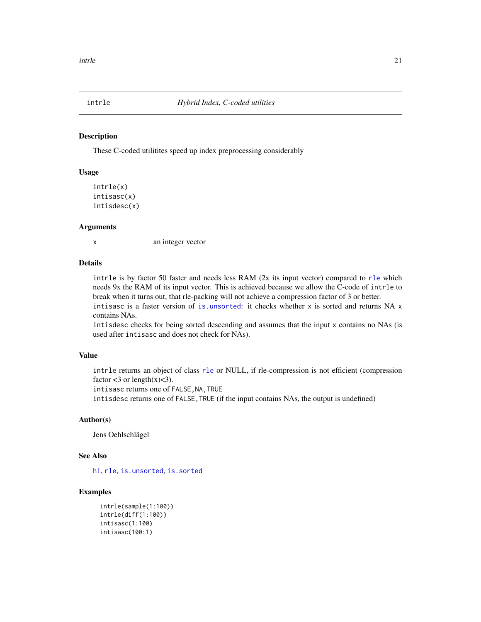<span id="page-20-1"></span><span id="page-20-0"></span>

These C-coded utilitites speed up index preprocessing considerably

#### Usage

```
intrle(x)
intisasc(x)
intisdesc(x)
```
#### Arguments

x an integer vector

#### Details

intrle is by factor 50 faster and needs less RAM (2x its input vector) compared to [rle](#page-0-0) which needs 9x the RAM of its input vector. This is achieved because we allow the C-code of intrle to break when it turns out, that rle-packing will not achieve a compression factor of 3 or better. intisasc is a faster version of [is.unsorted](#page-0-0): it checks whether  $x$  is sorted and returns NA  $x$ contains NAs.

intisdesc checks for being sorted descending and assumes that the input x contains no NAs (is used after intisasc and does not check for NAs).

#### Value

intrle returns an object of class [rle](#page-0-0) or NULL, if rle-compression is not efficient (compression factor  $<3$  or length(x) $<3$ ).

intisasc returns one of FALSE, NA, TRUE

intisdesc returns one of FALSE, TRUE (if the input contains NAs, the output is undefined)

# Author(s)

Jens Oehlschlägel

#### See Also

[hi](#page-0-0), [rle](#page-0-0), [is.unsorted](#page-0-0), [is.sorted](#page-22-1)

```
intrle(sample(1:100))
intrle(diff(1:100))
intisasc(1:100)
intisasc(100:1)
```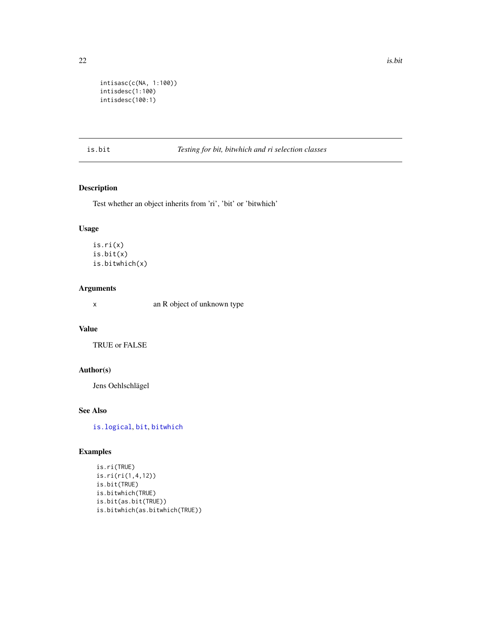<span id="page-21-0"></span>

```
intisasc(c(NA, 1:100))
intisdesc(1:100)
intisdesc(100:1)
```
#### <span id="page-21-1"></span>is.bit *Testing for bit, bitwhich and ri selection classes*

# <span id="page-21-2"></span>Description

Test whether an object inherits from 'ri', 'bit' or 'bitwhich'

# Usage

is.ri(x) is.bit(x) is.bitwhich(x)

#### Arguments

x an R object of unknown type

# Value

TRUE or FALSE

# Author(s)

Jens Oehlschlägel

# See Also

[is.logical](#page-0-0), [bit](#page-2-1), [bitwhich](#page-13-1)

```
is.ri(TRUE)
is.ri(ri(1,4,12))
is.bit(TRUE)
is.bitwhich(TRUE)
is.bit(as.bit(TRUE))
is.bitwhich(as.bitwhich(TRUE))
```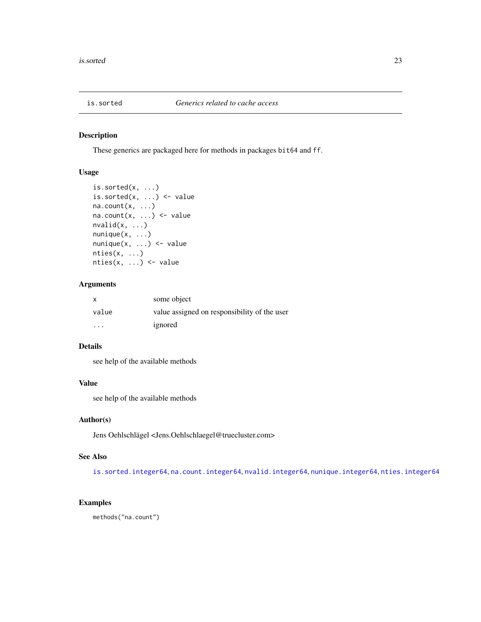<span id="page-22-1"></span><span id="page-22-0"></span>

These generics are packaged here for methods in packages bit64 and ff.

# Usage

```
is.sorted(x, ...)
is.sorted(x, \ldots) <- value
na.count(x, ...)na.count(x, ...) \leftarrow valuenvalid(x, \ldots)nunique(x, \ldots)nunique(x, \ldots) \leq valuenties(x, ...)
nties(x, \ldots) \leq value
```
# Arguments

| $\boldsymbol{\mathsf{x}}$ | some object                                  |
|---------------------------|----------------------------------------------|
| value                     | value assigned on responsibility of the user |
| .                         | ignored                                      |

# Details

see help of the available methods

#### Value

see help of the available methods

# Author(s)

Jens Oehlschlägel <Jens.Oehlschlaegel@truecluster.com>

# See Also

[is.sorted.integer64](#page-0-0), [na.count.integer64](#page-0-0), [nvalid.integer64](#page-0-0), [nunique.integer64](#page-0-0), [nties.integer64](#page-0-0)

# Examples

methods("na.count")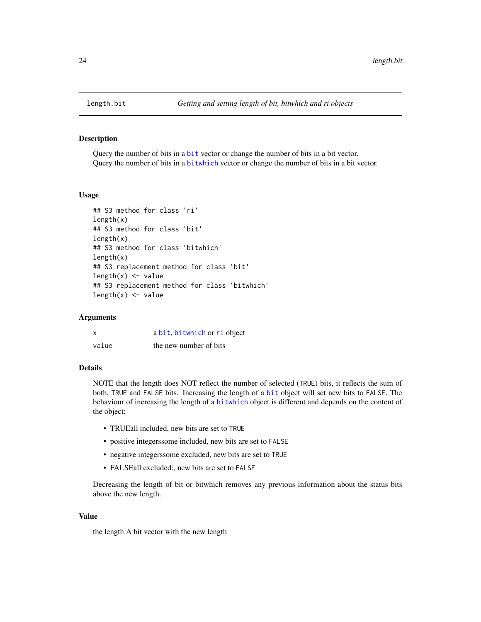Query the number of bits in a [bit](#page-2-1) vector or change the number of bits in a bit vector. Query the number of bits in a [bitwhich](#page-13-1) vector or change the number of bits in a bit vector.

#### Usage

```
## S3 method for class 'ri'
length(x)
## S3 method for class 'bit'
length(x)
## S3 method for class 'bitwhich'
length(x)
## S3 replacement method for class 'bit'
length(x) <- value
## S3 replacement method for class 'bitwhich'
length(x) <- value
```
#### Arguments

| X     | a bit, bitwhich or ri object |
|-------|------------------------------|
| value | the new number of bits       |

# Details

NOTE that the length does NOT reflect the number of selected (TRUE) bits, it reflects the sum of both, TRUE and FALSE bits. Increasing the length of a [bit](#page-2-1) object will set new bits to FALSE. The behaviour of increasing the length of a [bitwhich](#page-13-1) object is different and depends on the content of the object:

- TRUEall included, new bits are set to TRUE
- positive integerssome included, new bits are set to FALSE
- negative integerssome excluded, new bits are set to TRUE
- FALSEall excluded:, new bits are set to FALSE

Decreasing the length of bit or bitwhich removes any previous information about the status bits above the new length.

#### Value

the length A bit vector with the new length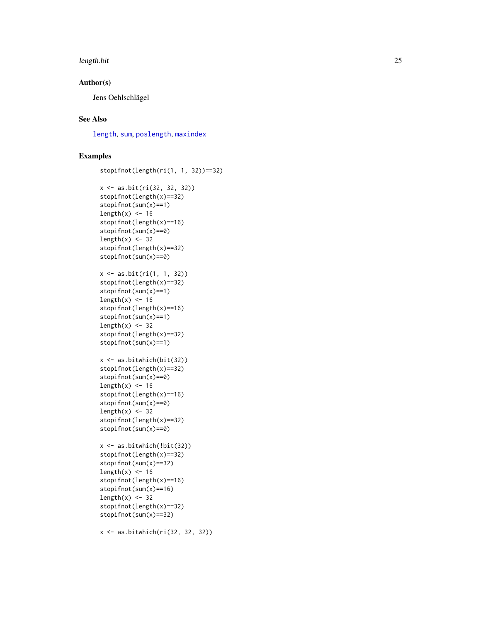#### <span id="page-24-0"></span>length.bit 25

# Author(s)

Jens Oehlschlägel

# See Also

[length](#page-0-0) , [sum](#page-38-1) , [poslength](#page-0-0) , [maxindex](#page-0-0)

```
stopifnot(length(ri(1, 1, 32))==32)
x <- as.bit(ri(32, 32, 32))
stopifnot(length(x)==32)
stopifnot(sum(x)==1)
length(x) <- 16
stopifnot(length(x)==16)
stopifnot(sum(x)==0)
length(x) <- 32
stopifnot(length(x)==32)
stopifnot(sum(x)==0)
x <- as.bit(ri(1, 1, 32))
stopifnot(length(x)==32)
stopifnot(sum(x)==1)
length(x) < -16stopifnot(length(x)==16)
stopifnot(sum(x)==1)
length(x) <- 32
stopifnot(length(x)==32)
stopifnot(sum(x)==1)
x <- as.bitwhich(bit(32))
stopifnot(length(x)==32)
stopifnot(sum(x)==0)
length(x) <- 16
stopifnot(length(x)==16)
stopifnot(sum(x)==0)
length(x) < -32stopifnot(length(x)==32)
stopifnot(sum(x)==0)
x \leftarrow as.bitwhich(!bit(32))
stopifnot(length(x)==32)
stopifnot(sum(x)==32)
length(x) < -16stopifnot(length(x)==16)
stopifnot(sum(x)==16)
length(x) < -32stopifnot(length(x)==32)
stopifnot(sum(x)==32)
x <- as.bitwhich(ri(32, 32, 32))
```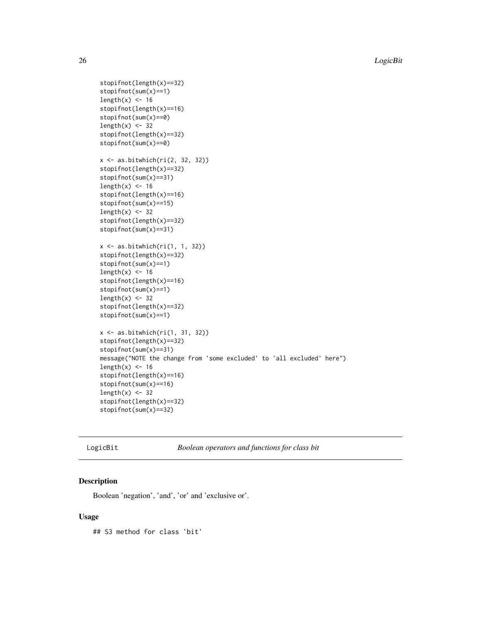26 **LogicBit** 

```
stopifnot(length(x)==32)
stopifnot(sum(x)==1)
length(x) < -16stopifnot(length(x)==16)
stopifnot(sum(x)==0)
length(x) < -32stopifnot(length(x)==32)
stopifnot(sum(x)==0)
x \leftarrow as.bitwhich(ri(2, 32, 32))stopifnot(length(x)==32)
stopifnot(sum(x)==31)
length(x) <- 16
stopifnot(length(x)==16)
stopifnot(sum(x)==15)
length(x) < -32stopifnot(length(x)==32)
stopifnot(sum(x)==31)
x \leftarrow as.bitwhich(ri(1, 1, 32))
stopifnot(length(x)==32)
stopifnot(sum(x)==1)
length(x) < -16stopifnot(length(x)==16)
stopifnot(sum(x)==1)
length(x) < -32stopifnot(length(x)==32)
stopifnot(sum(x)==1)
x <- as.bitwhich(ri(1, 31, 32))
stopifnot(length(x)==32)
stopifnot(sum(x)==31)
message("NOTE the change from 'some excluded' to 'all excluded' here")
length(x) <- 16
stopifnot(length(x)==16)
stopifnot(sum(x)==16)
length(x) < -32stopifnot(length(x)==32)
stopifnot(sum(x)==32)
```
LogicBit *Boolean operators and functions for class bit*

#### <span id="page-25-1"></span>Description

Boolean 'negation', 'and', 'or' and 'exclusive or'.

#### Usage

## S3 method for class 'bit'

<span id="page-25-0"></span>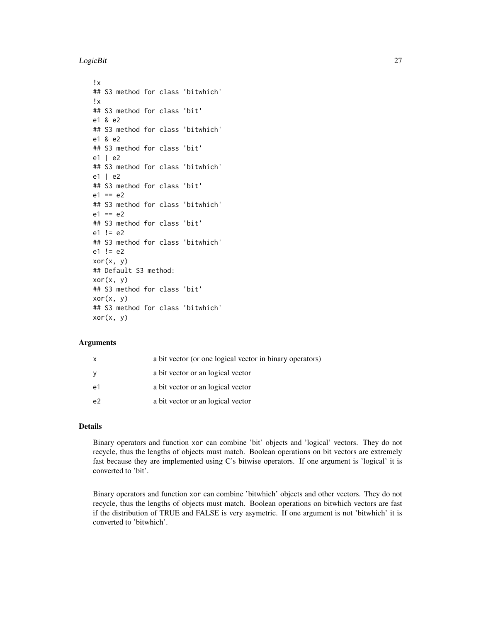#### LogicBit 27

```
!x
## S3 method for class 'bitwhich'
!x
## S3 method for class 'bit'
e1 & e2
## S3 method for class 'bitwhich'
e1 & e2
## S3 method for class 'bit'
e1 | e2
## S3 method for class 'bitwhich'
e1 | e2
## S3 method for class 'bit'
e1 == e2## S3 method for class 'bitwhich'
e1 == e2## S3 method for class 'bit'
e1 != e2## S3 method for class 'bitwhich'
e1 != e2xor(x, y)## Default S3 method:
xor(x, y)## S3 method for class 'bit'
xor(x, y)## S3 method for class 'bitwhich'
xor(x, y)
```
#### Arguments

|                | a bit vector (or one logical vector in binary operators) |
|----------------|----------------------------------------------------------|
|                | a bit vector or an logical vector                        |
| e1             | a bit vector or an logical vector                        |
| e <sup>2</sup> | a bit vector or an logical vector                        |

#### Details

Binary operators and function xor can combine 'bit' objects and 'logical' vectors. They do not recycle, thus the lengths of objects must match. Boolean operations on bit vectors are extremely fast because they are implemented using C's bitwise operators. If one argument is 'logical' it is converted to 'bit'.

Binary operators and function xor can combine 'bitwhich' objects and other vectors. They do not recycle, thus the lengths of objects must match. Boolean operations on bitwhich vectors are fast if the distribution of TRUE and FALSE is very asymetric. If one argument is not 'bitwhich' it is converted to 'bitwhich'.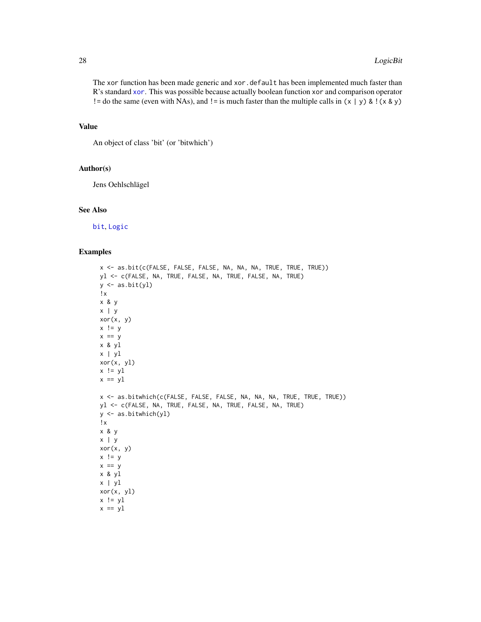The xor function has been made generic and xor.default has been implemented much faster than R's standard [xor](#page-25-1). This was possible because actually boolean function xor and comparison operator ! = do the same (even with NAs), and ! = is much faster than the multiple calls in  $(x | y)$  & !(x & y)

#### Value

An object of class 'bit' (or 'bitwhich')

# Author(s)

Jens Oehlschlägel

#### See Also

[bit](#page-2-1), [Logic](#page-0-0)

```
x <- as.bit(c(FALSE, FALSE, FALSE, NA, NA, NA, TRUE, TRUE, TRUE))
yl <- c(FALSE, NA, TRUE, FALSE, NA, TRUE, FALSE, NA, TRUE)
y \leftarrow as.bit(yl)!x
x & y
x | y
xor(x, y)
x != yx == yx & yl
x | yl
xor(x, yl)
x != y1x == y1x <- as.bitwhich(c(FALSE, FALSE, FALSE, NA, NA, NA, TRUE, TRUE, TRUE))
yl <- c(FALSE, NA, TRUE, FALSE, NA, TRUE, FALSE, NA, TRUE)
y <- as.bitwhich(yl)
!x
x & y
x | y
xor(x, y)
x != yx == yx & yl
x | yl
xor(x, yl)
x != y1x == y1
```
<span id="page-27-0"></span>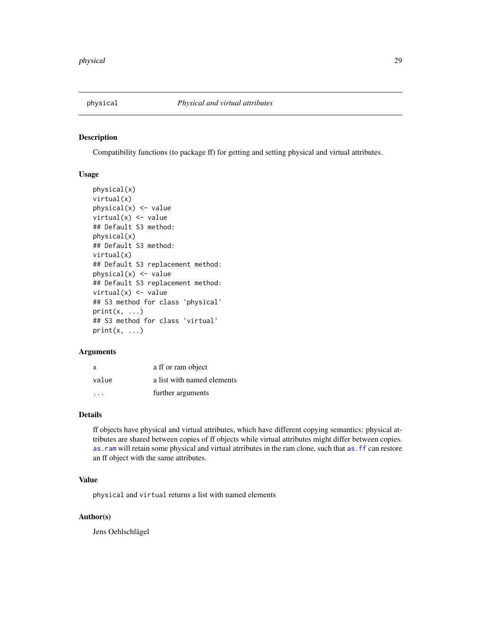<span id="page-28-0"></span>

Compatibility functions (to package ff) for getting and setting physical and virtual attributes.

#### Usage

```
physical(x)
virtual(x)
physical(x) <- value
virtual(x) <- value
## Default S3 method:
physical(x)
## Default S3 method:
virtual(x)
## Default S3 replacement method:
physical(x) <- value
## Default S3 replacement method:
virtual(x) \leftarrow value## S3 method for class 'physical'
print(x, \ldots)## S3 method for class 'virtual'
print(x, \ldots)
```
#### Arguments

| x                       | a ff or ram object         |
|-------------------------|----------------------------|
| value                   | a list with named elements |
| $\cdot$ $\cdot$ $\cdot$ | further arguments          |

# Details

ff objects have physical and virtual attributes, which have different copying semantics: physical attributes are shared between copies of ff objects while virtual attributes might differ between copies. as. ram will retain some physical and virtual atrributes in the ram clone, such that as. ff can restore an ff object with the same attributes.

# Value

physical and virtual returns a list with named elements

# Author(s)

Jens Oehlschlägel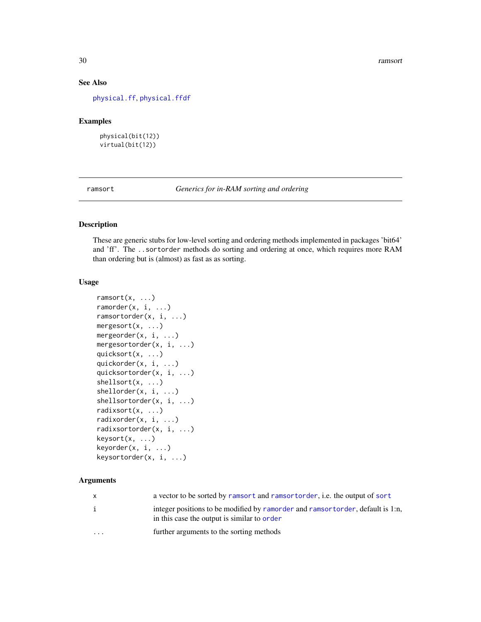#### 30 ramsort

# See Also

[physical.ff](#page-0-0), [physical.ffdf](#page-0-0)

# Examples

physical(bit(12)) virtual(bit(12))

<span id="page-29-1"></span>ramsort *Generics for in-RAM sorting and ordering*

# <span id="page-29-2"></span>Description

These are generic stubs for low-level sorting and ordering methods implemented in packages 'bit64' and 'ff'. The ..sortorder methods do sorting and ordering at once, which requires more RAM than ordering but is (almost) as fast as as sorting.

#### Usage

```
ramsort(x, ...)
ramorder(x, i, ...)ramsortorder(x, i, ...)
mergesort(x, ...)
mergeorder(x, i, ...)mergesortorder(x, i, ...)
quicksort(x, ...)
quickorder(x, i, ...)
quicksortorder(x, i, ...)
shellsort(x, ...)
shellorder(x, i, ...)
shellsortorder(x, i, ...)
radixsort(x, ...)
radixorder(x, i, ...)
radixsortorder(x, i, ...)
keysort(x, ...)
keyorder(x, i, ...)
keysortorder(x, i, ...)
```
#### Arguments

| $\mathsf{x}$            | a vector to be sorted by ramsort and ramsort order, i.e. the output of sort                                                   |
|-------------------------|-------------------------------------------------------------------------------------------------------------------------------|
| $\mathbf{1}$            | integer positions to be modified by ramorder and ramsortorder, default is 1:n,<br>in this case the output is similar to order |
| $\cdot$ $\cdot$ $\cdot$ | further arguments to the sorting methods                                                                                      |

<span id="page-29-0"></span>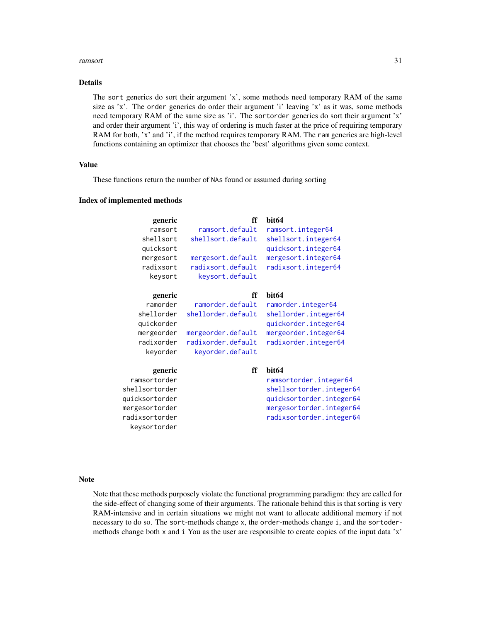#### <span id="page-30-0"></span>ramsort 31

#### Details

The sort generics do sort their argument 'x', some methods need temporary RAM of the same size as 'x'. The order generics do order their argument 'i' leaving 'x' as it was, some methods need temporary RAM of the same size as 'i'. The sortorder generics do sort their argument 'x' and order their argument 'i', this way of ordering is much faster at the price of requiring temporary RAM for both, 'x' and 'i', if the method requires temporary RAM. The ram generics are high-level functions containing an optimizer that chooses the 'best' algorithms given some context.

# Value

These functions return the number of NAs found or assumed during sorting

#### Index of implemented methods

| generic        | ff                 | bit <sub>64</sub>        |
|----------------|--------------------|--------------------------|
| ramsort        | ramsort.default    | ramsort.integer64        |
| shellsort      | shellsort.default  | shellsort.integer64      |
| quicksort      |                    | quicksort.integer64      |
| mergesort      | mergesort.default  | mergesort.integer64      |
| radixsort      | radixsort.default  | radixsort.integer64      |
| keysort        | keysort.default    |                          |
| generic        | ff                 | bit <sub>64</sub>        |
| ramorder       | ramorder.default   | ramorder.integer64       |
| shellorder     | shellorder.default | shellorder.integer64     |
| quickorder     |                    | quickorder.integer64     |
| mergeorder     | mergeorder.default | mergeorder.integer64     |
| radixorder     | radixorder.default | radixorder.integer64     |
| keyorder       | keyorder.default   |                          |
| generic        | ff                 | bit <sub>64</sub>        |
| ramsortorder   |                    | ramsortorder.integer64   |
| shellsortorder |                    | shellsortorder.integer64 |
| quicksortorder |                    | quicksortorder.integer64 |
| mergesortorder |                    | mergesortorder.integer64 |
| radixsortorder |                    | radixsortorder.integer64 |
| keysortorder   |                    |                          |

#### Note

Note that these methods purposely violate the functional programming paradigm: they are called for the side-effect of changing some of their arguments. The rationale behind this is that sorting is very RAM-intensive and in certain situations we might not want to allocate additional memory if not necessary to do so. The sort-methods change x, the order-methods change i, and the sortodermethods change both x and i You as the user are responsible to create copies of the input data 'x'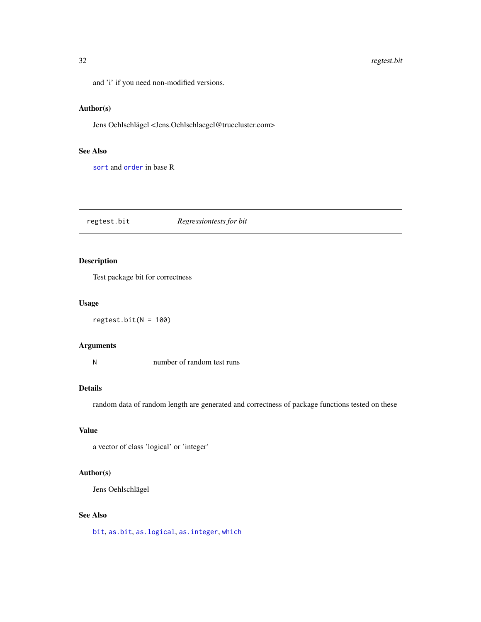<span id="page-31-0"></span>and 'i' if you need non-modified versions.

# Author(s)

Jens Oehlschlägel <Jens.Oehlschlaegel@truecluster.com>

# See Also

[sort](#page-0-0) and [order](#page-0-0) in base R

<span id="page-31-1"></span>regtest.bit *Regressiontests for bit*

# Description

Test package bit for correctness

# Usage

 $regtest.bit(N = 100)$ 

#### Arguments

N number of random test runs

#### Details

random data of random length are generated and correctness of package functions tested on these

# Value

```
a vector of class 'logical' or 'integer'
```
#### Author(s)

Jens Oehlschlägel

# See Also

[bit](#page-2-1), [as.bit](#page-7-1), [as.logical](#page-0-0), [as.integer](#page-0-0), [which](#page-0-0)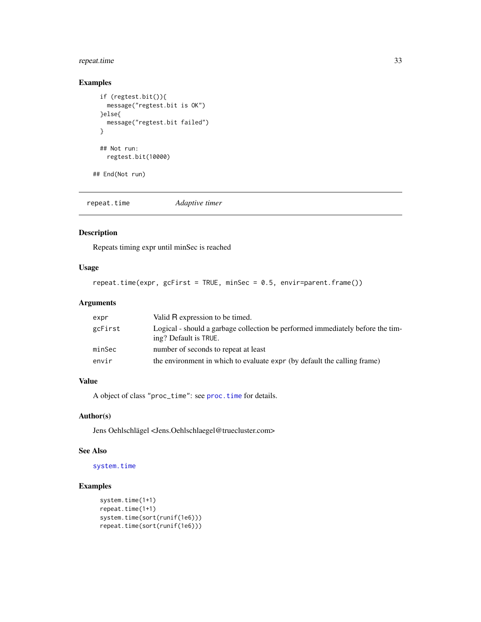# <span id="page-32-0"></span>repeat.time 33

# Examples

```
if (regtest.bit()){
 message("regtest.bit is OK")
}else{
 message("regtest.bit failed")
}
## Not run:
 regtest.bit(10000)
```
## End(Not run)

repeat.time *Adaptive timer*

# Description

Repeats timing expr until minSec is reached

# Usage

```
repeat.time(expr, gcFirst = TRUE, minSec = 0.5, envir=parent.frame())
```
# Arguments

| expr    | Valid R expression to be timed.                                                                         |
|---------|---------------------------------------------------------------------------------------------------------|
| gcFirst | Logical - should a garbage collection be performed immediately before the tim-<br>ing? Default is TRUE. |
| minSec  | number of seconds to repeat at least                                                                    |
| envir   | the environment in which to evaluate expr (by default the calling frame)                                |

# Value

A object of class "proc\_time": see [proc.time](#page-0-0) for details.

#### Author(s)

Jens Oehlschlägel <Jens.Oehlschlaegel@truecluster.com>

# See Also

# [system.time](#page-0-0)

```
system.time(1+1)
repeat.time(1+1)
system.time(sort(runif(1e6)))
repeat.time(sort(runif(1e6)))
```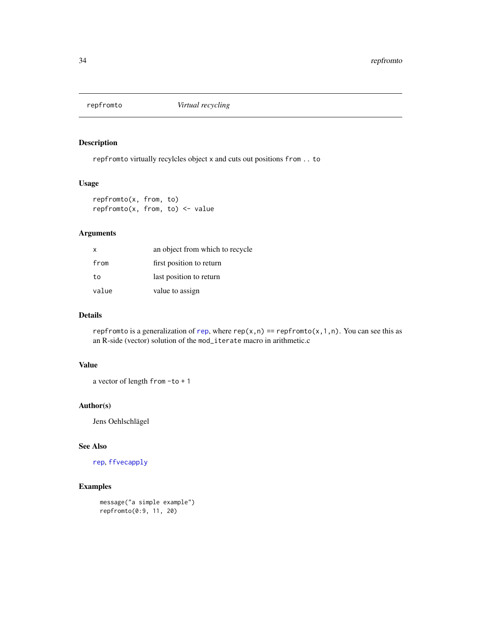<span id="page-33-1"></span><span id="page-33-0"></span>

repfromto virtually recylcles object x and cuts out positions from .. to

#### Usage

repfromto(x, from, to)  $repfromto(x, from, to) < - value$ 

# Arguments

| X     | an object from which to recycle |
|-------|---------------------------------|
| from  | first position to return        |
| to    | last position to return         |
| value | value to assign                 |

#### Details

[rep](#page-0-0)fromto is a generalization of rep, where rep(x,n) == repfromto(x,1,n). You can see this as an R-side (vector) solution of the mod\_iterate macro in arithmetic.c

# Value

a vector of length from -to + 1

#### Author(s)

Jens Oehlschlägel

#### See Also

[rep](#page-0-0), [ffvecapply](#page-0-0)

# Examples

message("a simple example") repfromto(0:9, 11, 20)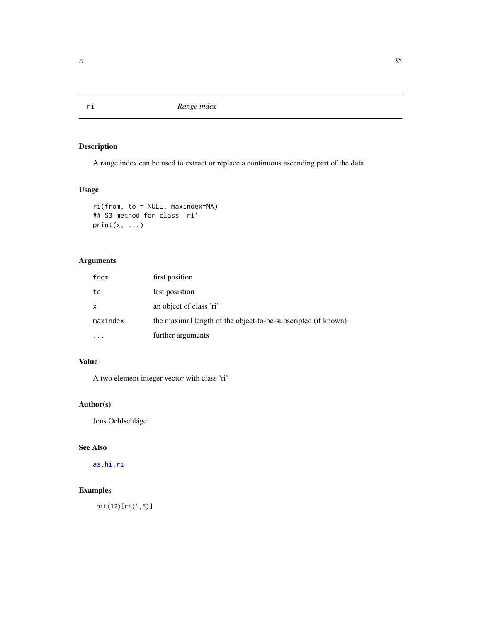<span id="page-34-2"></span><span id="page-34-1"></span><span id="page-34-0"></span>A range index can be used to extract or replace a continuous ascending part of the data

# Usage

```
ri(from, to = NULL, maxindex=NA)
## S3 method for class 'ri'
print(x, \ldots)
```
# Arguments

| from     | first position                                                |
|----------|---------------------------------------------------------------|
| to       | last posistion                                                |
| x        | an object of class 'ri'                                       |
| maxindex | the maximal length of the object-to-be-subscripted (if known) |
|          | further arguments                                             |

# Value

A two element integer vector with class 'ri'

# Author(s)

Jens Oehlschlägel

# See Also

[as.hi.ri](#page-0-0)

# Examples

bit(12)[ri(1,6)]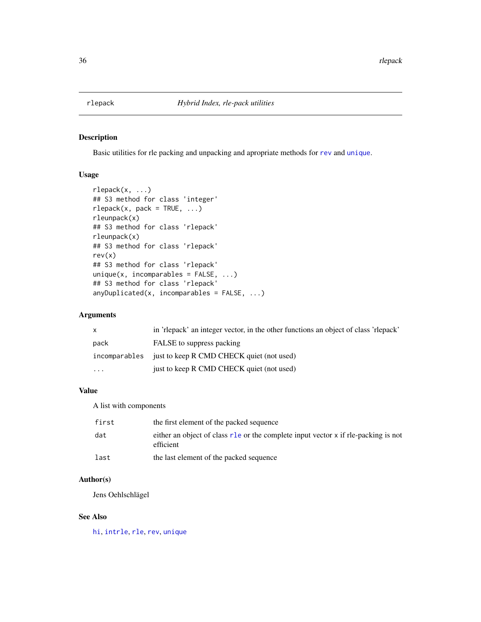<span id="page-35-0"></span>

Basic utilities for rle packing and unpacking and apropriate methods for [rev](#page-0-0) and [unique](#page-0-0).

# Usage

```
rlepack(x, ...)
## S3 method for class 'integer'
rlepack(x, pack = TRUE, ...)rleunpack(x)
## S3 method for class 'rlepack'
rleunpack(x)
## S3 method for class 'rlepack'
rev(x)
## S3 method for class 'rlepack'
unique(x, incomparables = FALSE, ...)## S3 method for class 'rlepack'
anyDuplicated(x, incomparables = FALSE, ...)
```
# Arguments

| $\mathsf{x}$ | in 'rlepack' an integer vector, in the other functions an object of class 'rlepack' |
|--------------|-------------------------------------------------------------------------------------|
| pack         | FALSE to suppress packing                                                           |
|              | incomparables just to keep R CMD CHECK quiet (not used)                             |
| $\cdot$      | just to keep R CMD CHECK quiet (not used)                                           |

# Value

A list with components

| first | the first element of the packed sequence                                                        |
|-------|-------------------------------------------------------------------------------------------------|
| dat   | either an object of class r1e or the complete input vector x if rle-packing is not<br>efficient |
| last  | the last element of the packed sequence                                                         |

# Author(s)

Jens Oehlschlägel

# See Also

[hi](#page-0-0), [intrle](#page-20-1), [rle](#page-0-0), [rev](#page-0-0), [unique](#page-0-0)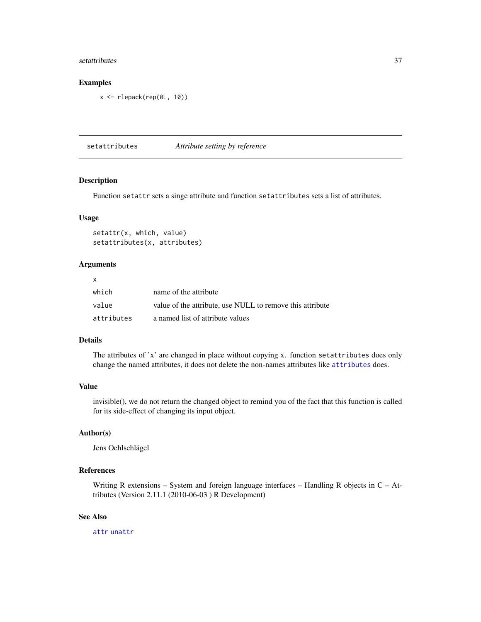#### <span id="page-36-0"></span>setattributes 37

# Examples

x <- rlepack(rep(0L, 10))

<span id="page-36-1"></span>setattributes *Attribute setting by reference*

#### Description

Function setattr sets a singe attribute and function setattributes sets a list of attributes.

#### Usage

setattr(x, which, value) setattributes(x, attributes)

#### Arguments

| X          |                                                           |
|------------|-----------------------------------------------------------|
| which      | name of the attribute                                     |
| value      | value of the attribute, use NULL to remove this attribute |
| attributes | a named list of attribute values                          |

#### Details

The attributes of 'x' are changed in place without copying x. function setattributes does only change the named attributes, it does not delete the non-names attributes like [attributes](#page-0-0) does.

# Value

invisible(), we do not return the changed object to remind you of the fact that this function is called for its side-effect of changing its input object.

#### Author(s)

Jens Oehlschlägel

# References

Writing R extensions – System and foreign language interfaces – Handling R objects in  $C - At$ tributes (Version 2.11.1 (2010-06-03 ) R Development)

#### See Also

[attr](#page-0-0) [unattr](#page-41-1)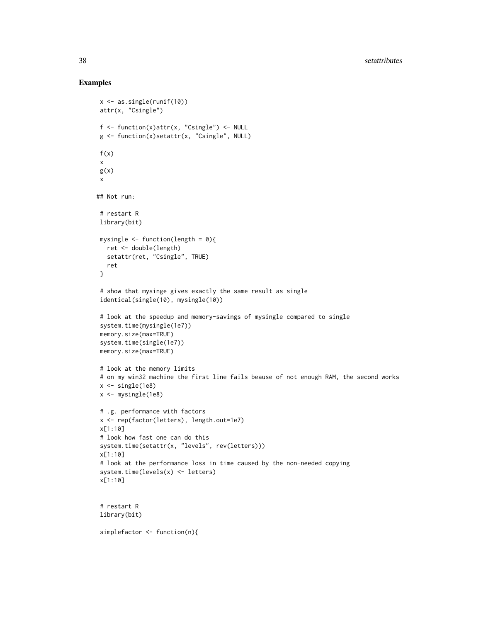```
x <- as.single(runif(10))
 attr(x, "Csingle")
 f \leftarrow function(x)attr(x, "Csingle") \leftarrow NULLg <- function(x)setattr(x, "Csingle", NULL)
 f(x)x
 g(x)x
## Not run:
 # restart R
 library(bit)
 mysingle \leq function(length = 0){
  ret <- double(length)
  setattr(ret, "Csingle", TRUE)
   ret
 }
 # show that mysinge gives exactly the same result as single
 identical(single(10), mysingle(10))
 # look at the speedup and memory-savings of mysingle compared to single
 system.time(mysingle(1e7))
 memory.size(max=TRUE)
 system.time(single(1e7))
 memory.size(max=TRUE)
 # look at the memory limits
 # on my win32 machine the first line fails beause of not enough RAM, the second works
 x \leftarrow single(1e8)
 x <- mysingle(1e8)
 # .g. performance with factors
 x <- rep(factor(letters), length.out=1e7)
 x[1:10]
 # look how fast one can do this
 system.time(setattr(x, "levels", rev(letters)))
 x[1:10]
 # look at the performance loss in time caused by the non-needed copying
 system.time(levels(x) <- letters)
 x[1:10]
 # restart R
 library(bit)
 simplefactor <- function(n){
```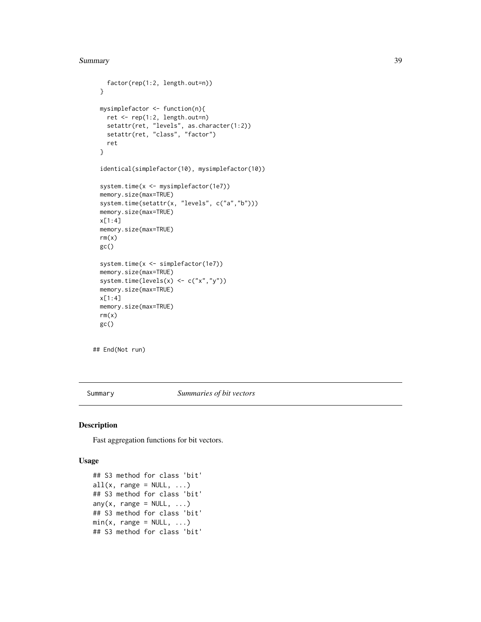```
factor(rep(1:2, length.out=n))
}
mysimplefactor <- function(n){
 ret <- rep(1:2, length.out=n)
 setattr(ret, "levels", as.character(1:2))
 setattr(ret, "class", "factor")
 ret
}
identical(simplefactor(10), mysimplefactor(10))
system.time(x <- mysimplefactor(1e7))
memory.size(max=TRUE)
system.time(setattr(x, "levels", c("a","b")))
memory.size(max=TRUE)
x[1:4]
memory.size(max=TRUE)
rm(x)
gc()
system.time(x <- simplefactor(1e7))
memory.size(max=TRUE)
system.time(levels(x) <- c("x","y"))
memory.size(max=TRUE)
x[1:4]
memory.size(max=TRUE)
rm(x)gc()
```
## End(Not run)

Summary *Summaries of bit vectors*

#### <span id="page-38-1"></span>Description

Fast aggregation functions for bit vectors.

#### Usage

```
## S3 method for class 'bit'
all(x, range = NULL, ...)## S3 method for class 'bit'
any(x, range = NULL, ...)## S3 method for class 'bit'
min(x, range = NULL, ...)## S3 method for class 'bit'
```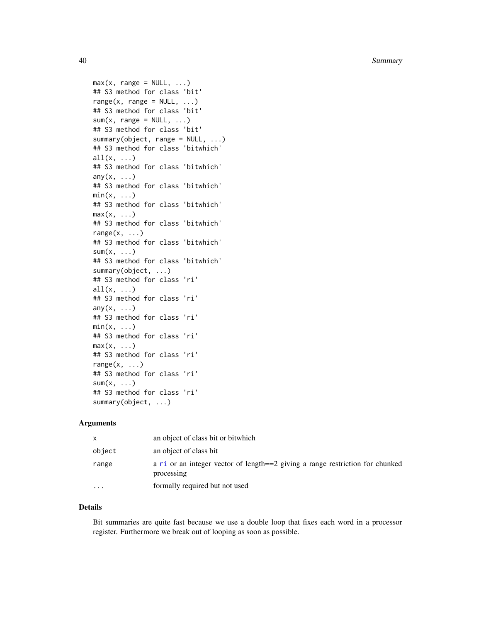40 Summary

```
max(x, range = NULL, ...)## S3 method for class 'bit'
range(x, range = NULL, ...)## S3 method for class 'bit'
sum(x, range = NULL, ...)## S3 method for class 'bit'
summary(object, range = NULL, ...)## S3 method for class 'bitwhich'
all(x, \ldots)## S3 method for class 'bitwhich'
any(x, \ldots)## S3 method for class 'bitwhich'
min(x, \ldots)## S3 method for class 'bitwhich'
max(x, \ldots)## S3 method for class 'bitwhich'
range(x, \ldots)## S3 method for class 'bitwhich'
sum(x, \ldots)## S3 method for class 'bitwhich'
summary(object, ...)
## S3 method for class 'ri'
all(x, \ldots)## S3 method for class 'ri'
any(x, \ldots)## S3 method for class 'ri'
min(x, \ldots)## S3 method for class 'ri'
max(x, \ldots)## S3 method for class 'ri'
range(x, \ldots)## S3 method for class 'ri'
sum(x, \ldots)## S3 method for class 'ri'
summary(object, ...)
```
#### Arguments

| x                       | an object of class bit or bitwhich                                                          |
|-------------------------|---------------------------------------------------------------------------------------------|
| object                  | an object of class bit                                                                      |
| range                   | a ri or an integer vector of length==2 giving a range restriction for chunked<br>processing |
| $\cdot$ $\cdot$ $\cdot$ | formally required but not used                                                              |

#### Details

Bit summaries are quite fast because we use a double loop that fixes each word in a processor register. Furthermore we break out of looping as soon as possible.

<span id="page-39-0"></span>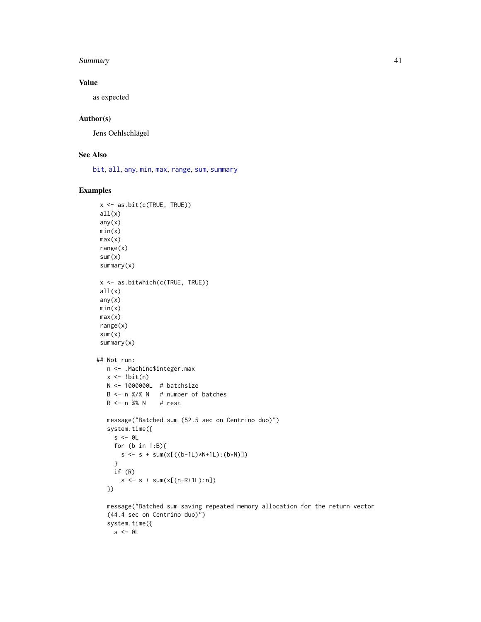#### <span id="page-40-0"></span>Summary **41**

# Value

as expected

# Author(s)

Jens Oehlschlägel

# See Also

[bit](#page-2-1), [all](#page-0-0), [any](#page-0-0), [min](#page-0-0), [max](#page-0-0), [range](#page-0-0), [sum](#page-0-0), [summary](#page-0-0)

# Examples

```
x <- as.bit(c(TRUE, TRUE))
 all(x)any(x)min(x)
 max(x)range(x)
 sum(x)summary(x)
 x <- as.bitwhich(c(TRUE, TRUE))
 all(x)any(x)
 min(x)
 max(x)range(x)
 sum(x)summary(x)
## Not run:
  n <- .Machine$integer.max
  x \leftarrow !bit(n)N <- 1000000L # batchsize
  B <- n %/% N # number of batches
  R <- n %% N # rest
  message("Batched sum (52.5 sec on Centrino duo)")
  system.time({
    s < - \theta Lfor (b \text{ in } 1:B)s \leq s + sum(x[((b-1L)*N+1L):(b*N)]}
    if (R)
       s \leq -s + \text{sum}(x[(n-R+1L):n])})
   message("Batched sum saving repeated memory allocation for the return vector
```
(44.4 sec on Centrino duo)") system.time({  $s < - \emptyset$ L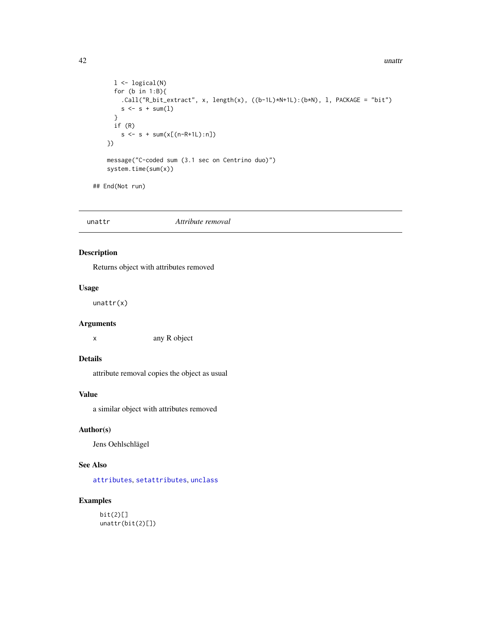```
l \leftarrow logical(N)
      for (b in 1:B){
        .Call("R_bit_extract", x, length(x), ((b-1L)*N+1L):(b*N), l, PACKAGE = "bit")
        s \leq s + sum(1)}
      if (R)
        s \leq s + sum(x[(n-R+1L):n])})
   message("C-coded sum (3.1 sec on Centrino duo)")
    system.time(sum(x))
## End(Not run)
```

```
unattr Attribute removal
```
Returns object with attributes removed

#### Usage

unattr(x)

# Arguments

x any R object

# Details

attribute removal copies the object as usual

#### Value

a similar object with attributes removed

# Author(s)

Jens Oehlschlägel

# See Also

[attributes](#page-0-0), [setattributes](#page-36-1), [unclass](#page-0-0)

# Examples

bit(2)[] unattr(bit(2)[])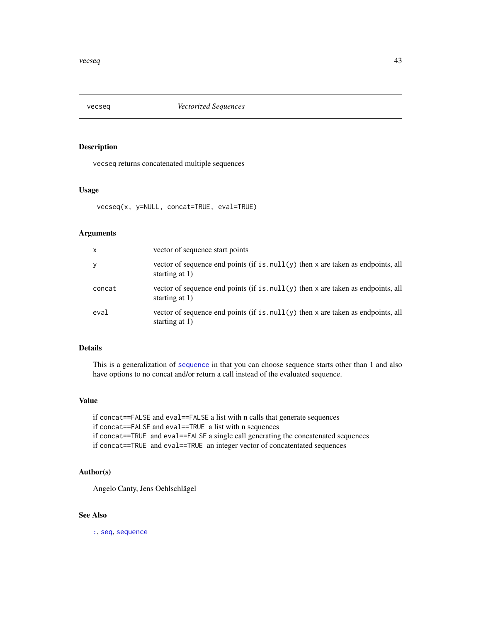<span id="page-42-0"></span>

vecseq returns concatenated multiple sequences

#### Usage

```
vecseq(x, y=NULL, concat=TRUE, eval=TRUE)
```
# Arguments

| $\mathsf{x}$ | vector of sequence start points                                                                        |
|--------------|--------------------------------------------------------------------------------------------------------|
| У            | vector of sequence end points (if is $null(y)$ then x are taken as endpoints, all<br>starting at $1$ ) |
| concat       | vector of sequence end points (if is $null(y)$ then x are taken as endpoints, all<br>starting at $1$ ) |
| eval         | vector of sequence end points (if is $null(y)$ then x are taken as endpoints, all<br>starting at 1)    |

# Details

This is a generalization of [sequence](#page-0-0) in that you can choose sequence starts other than 1 and also have options to no concat and/or return a call instead of the evaluated sequence.

#### Value

if concat==FALSE and eval==FALSE a list with n calls that generate sequences if concat==FALSE and eval==TRUE a list with n sequences if concat==TRUE and eval==FALSE a single call generating the concatenated sequences if concat==TRUE and eval==TRUE an integer vector of concatentated sequences

#### Author(s)

Angelo Canty, Jens Oehlschlägel

# See Also

[:](#page-0-0), [seq](#page-0-0), [sequence](#page-0-0)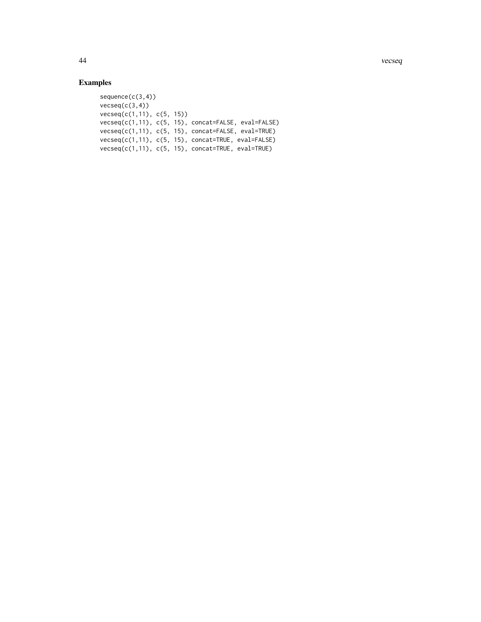44 vecseq

```
sequence(c(3,4))
vecseq(c(3,4))vecseq(c(1,11), c(5, 15))
vecseq(c(1,11), c(5, 15), concat=FALSE, eval=FALSE)
vecseq(c(1,11), c(5, 15), concat=FALSE, eval=TRUE)
vecseq(c(1,11), c(5, 15), concat=TRUE, eval=FALSE)
vecseq(c(1,11), c(5, 15), concat=TRUE, eval=TRUE)
```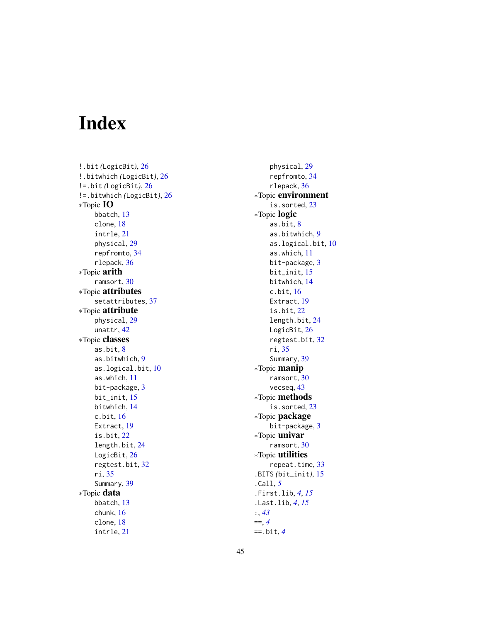# <span id="page-44-0"></span>Index

!.bit *(*LogicBit*)*, [26](#page-25-0) !.bitwhich *(*LogicBit*)*, [26](#page-25-0) !=.bit *(*LogicBit*)*, [26](#page-25-0) !=.bitwhich *(*LogicBit*)*, [26](#page-25-0) ∗Topic IO bbatch, [13](#page-12-0) clone, [18](#page-17-0) intrle, [21](#page-20-0) physical, [29](#page-28-0) repfromto, [34](#page-33-0) rlepack, [36](#page-35-0) ∗Topic arith ramsort, [30](#page-29-0) ∗Topic attributes setattributes, [37](#page-36-0) ∗Topic attribute physical, [29](#page-28-0) unattr, [42](#page-41-0) ∗Topic classes as.bit, [8](#page-7-0) as.bitwhich, [9](#page-8-0) as.logical.bit, [10](#page-9-0) as.which, [11](#page-10-0) bit-package, [3](#page-2-0) bit\_init, [15](#page-14-0) bitwhich, [14](#page-13-0) c.bit, [16](#page-15-0) Extract, [19](#page-18-0) is.bit, [22](#page-21-0) length.bit, [24](#page-23-0) LogicBit, [26](#page-25-0) regtest.bit, [32](#page-31-0) ri, [35](#page-34-0) Summary, [39](#page-38-0) ∗Topic data bbatch, [13](#page-12-0) chunk, [16](#page-15-0) clone, [18](#page-17-0) intrle, [21](#page-20-0)

physical, [29](#page-28-0) repfromto, [34](#page-33-0) rlepack, [36](#page-35-0) ∗Topic environment is.sorted, [23](#page-22-0) ∗Topic logic as.bit, [8](#page-7-0) as.bitwhich, [9](#page-8-0) as.logical.bit, [10](#page-9-0) as.which, [11](#page-10-0) bit-package, [3](#page-2-0) bit\_init, [15](#page-14-0) bitwhich, [14](#page-13-0) c.bit, [16](#page-15-0) Extract, [19](#page-18-0) is.bit, [22](#page-21-0) length.bit, [24](#page-23-0) LogicBit, [26](#page-25-0) regtest.bit, [32](#page-31-0) ri, [35](#page-34-0) Summary, [39](#page-38-0) ∗Topic manip ramsort, [30](#page-29-0) vecseq, [43](#page-42-0) ∗Topic methods is.sorted, [23](#page-22-0) ∗Topic package bit-package, [3](#page-2-0) ∗Topic univar ramsort, [30](#page-29-0) ∗Topic utilities repeat.time, [33](#page-32-0) .BITS *(*bit\_init*)*, [15](#page-14-0) .Call, *[5](#page-4-0)* .First.lib, *[4](#page-3-0)*, *[15](#page-14-0)* .Last.lib, *[4](#page-3-0)*, *[15](#page-14-0)* :, *[43](#page-42-0)* ==, *[4](#page-3-0)* ==.bit, *[4](#page-3-0)*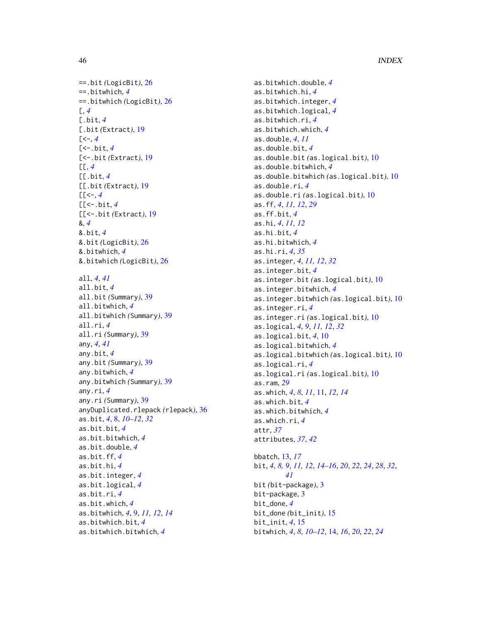```
==.bit (LogicBit), 26
==.bitwhich, 4
==.bitwhich (LogicBit), 26
[, 4
[.bit, 4
[.bit (Extract), 19
4][<-.bit, 4
[<-.bit (Extract), 19
[[, 4
[[.bit, 4
[[.bit (Extract), 19
[[<4
[[<-.bit, 4
[[<-.bit (Extract), 19
&, 4
&.bit, 4
&.bit (LogicBit), 26
&.bitwhich, 4
&.bitwhich (LogicBit), 26
all, 4, 41
all.bit, 4
all.bit (Summary), 39
all.bitwhich, 4
all.bitwhich (Summary), 39
all.ri, 4
all.ri (Summary), 39
any, 4, 41
any.bit, 4
any.bit (Summary), 39
any.bitwhich, 4
any.bitwhich (Summary), 39
any.ri, 4
any.ri (Summary), 39
anyDuplicated.rlepack (rlepack), 36
as.bit, 4, 8, 10–12, 32
as.bit.bit, 4
as.bit.bitwhich, 4
as.bit.double, 4
as.bit.ff, 4
as.bit.hi, 4
as.bit.integer, 4
as.bit.logical, 4
as.bit.ri, 4
as.bit.which, 4
as.bitwhich, 4, 9, 11, 12, 14
as.bitwhich.bit, 4
as.bitwhich.bitwhich, 4
```
as.bitwhich.double, *[4](#page-3-0)* as.bitwhich.hi, *[4](#page-3-0)* as.bitwhich.integer, *[4](#page-3-0)* as.bitwhich.logical, *[4](#page-3-0)* as.bitwhich.ri, *[4](#page-3-0)* as.bitwhich.which, *[4](#page-3-0)* as.double, *[4](#page-3-0)*, *[11](#page-10-0)* as.double.bit, *[4](#page-3-0)* as.double.bit *(*as.logical.bit*)*, [10](#page-9-0) as.double.bitwhich, *[4](#page-3-0)* as.double.bitwhich *(*as.logical.bit*)*, [10](#page-9-0) as.double.ri, *[4](#page-3-0)* as.double.ri *(*as.logical.bit*)*, [10](#page-9-0) as.ff, *[4](#page-3-0)*, *[11,](#page-10-0) [12](#page-11-0)*, *[29](#page-28-0)* as.ff.bit, *[4](#page-3-0)* as.hi, *[4](#page-3-0)*, *[11,](#page-10-0) [12](#page-11-0)* as.hi.bit, *[4](#page-3-0)* as.hi.bitwhich, *[4](#page-3-0)* as.hi.ri, *[4](#page-3-0)*, *[35](#page-34-0)* as.integer, *[4](#page-3-0)*, *[11,](#page-10-0) [12](#page-11-0)*, *[32](#page-31-0)* as.integer.bit, *[4](#page-3-0)* as.integer.bit *(*as.logical.bit*)*, [10](#page-9-0) as.integer.bitwhich, *[4](#page-3-0)* as.integer.bitwhich *(*as.logical.bit*)*, [10](#page-9-0) as.integer.ri, *[4](#page-3-0)* as.integer.ri *(*as.logical.bit*)*, [10](#page-9-0) as.logical, *[4](#page-3-0)*, *[9](#page-8-0)*, *[11,](#page-10-0) [12](#page-11-0)*, *[32](#page-31-0)* as.logical.bit, *[4](#page-3-0)*, [10](#page-9-0) as.logical.bitwhich, *[4](#page-3-0)* as.logical.bitwhich *(*as.logical.bit*)*, [10](#page-9-0) as.logical.ri, *[4](#page-3-0)* as.logical.ri *(*as.logical.bit*)*, [10](#page-9-0) as.ram, *[29](#page-28-0)* as.which, *[4](#page-3-0)*, *[8](#page-7-0)*, *[11](#page-10-0)*, [11,](#page-10-0) *[12](#page-11-0)*, *[14](#page-13-0)* as.which.bit, *[4](#page-3-0)* as.which.bitwhich, *[4](#page-3-0)* as.which.ri, *[4](#page-3-0)* attr, *[37](#page-36-0)* attributes, *[37](#page-36-0)*, *[42](#page-41-0)* bbatch, [13,](#page-12-0) *[17](#page-16-0)* bit, *[4](#page-3-0)*, *[8,](#page-7-0) [9](#page-8-0)*, *[11,](#page-10-0) [12](#page-11-0)*, *[14](#page-13-0)[–16](#page-15-0)*, *[20](#page-19-0)*, *[22](#page-21-0)*, *[24](#page-23-0)*, *[28](#page-27-0)*, *[32](#page-31-0)*, *[41](#page-40-0)* bit *(*bit-package*)*, [3](#page-2-0) bit-package, [3](#page-2-0) bit\_done, *[4](#page-3-0)* bit\_done *(*bit\_init*)*, [15](#page-14-0) bit\_init, *[4](#page-3-0)*, [15](#page-14-0) bitwhich, *[4](#page-3-0)*, *[8](#page-7-0)*, *[10](#page-9-0)[–12](#page-11-0)*, [14,](#page-13-0) *[16](#page-15-0)*, *[20](#page-19-0)*, *[22](#page-21-0)*, *[24](#page-23-0)*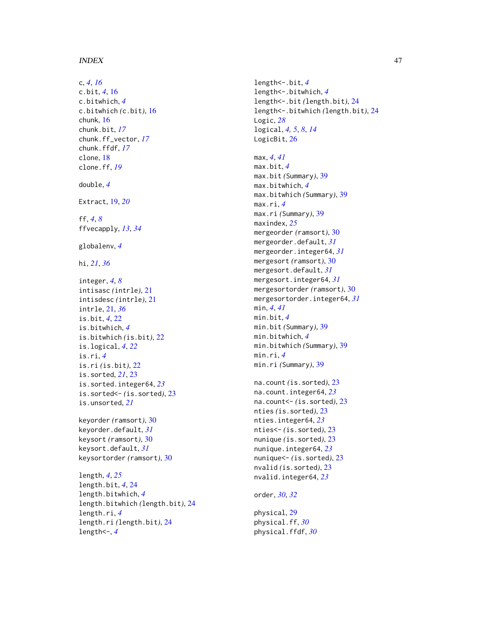#### INDEX 47

c, *[4](#page-3-0)*, *[16](#page-15-0)* c.bit , *[4](#page-3-0)* , [16](#page-15-0) c.bitwhich , *[4](#page-3-0)* c.bitwhich *(*c.bit *)* , [16](#page-15-0) chunk , [16](#page-15-0) chunk.bit , *[17](#page-16-0)* chunk.ff\_vector , *[17](#page-16-0)* chunk.ffdf , *[17](#page-16-0)* clone , [18](#page-17-0) clone.ff , *[19](#page-18-0)* double , *[4](#page-3-0)* Extract , [19](#page-18-0) , *[20](#page-19-0)* ff , *[4](#page-3-0)* , *[8](#page-7-0)* ffvecapply , *[13](#page-12-0)* , *[34](#page-33-0)* globalenv , *[4](#page-3-0)* hi , *[21](#page-20-0)* , *[36](#page-35-0)* integer , *[4](#page-3-0)* , *[8](#page-7-0)* intisasc *(*intrle *)* , [21](#page-20-0) intisdesc *(*intrle *)* , [21](#page-20-0) intrle , [21](#page-20-0) , *[36](#page-35-0)* is.bit , *[4](#page-3-0)* , [22](#page-21-0) is.bitwhich , *[4](#page-3-0)* is.bitwhich *(*is.bit *)* , [22](#page-21-0) is.logical , *[4](#page-3-0)* , *[22](#page-21-0)* is.ri , *[4](#page-3-0)* is.ri *(*is.bit *)* , [22](#page-21-0) is.sorted , *[21](#page-20-0)* , [23](#page-22-0) is.sorted.integer64 , *[23](#page-22-0)* is.sorted<- *(*is.sorted *)* , [23](#page-22-0) is.unsorted , *[21](#page-20-0)* keyorder *(*ramsort *)* , [30](#page-29-0) keyorder.default , *[31](#page-30-0)* keysort *(*ramsort *)* , [30](#page-29-0) keysort.default , *[31](#page-30-0)* keysortorder *(*ramsort *)* , [30](#page-29-0) length , *[4](#page-3-0)* , *[25](#page-24-0)* length.bit , *[4](#page-3-0)* , [24](#page-23-0) length.bitwhich , *[4](#page-3-0)* length.bitwhich *(*length.bit *)* , [24](#page-23-0) length.ri , *[4](#page-3-0)* length.ri *(*length.bit *)* , [24](#page-23-0) length<- , *[4](#page-3-0)*

length<-.bit , *[4](#page-3-0)* length<-.bitwhich , *[4](#page-3-0)* length<-.bit *(*length.bit *)* , [24](#page-23-0) length<-.bitwhich *(*length.bit *)* , [24](#page-23-0) Logic , *[28](#page-27-0)* logical , *[4](#page-3-0) , [5](#page-4-0)* , *[8](#page-7-0)* , *[14](#page-13-0)* LogicBit, [26](#page-25-0) max , *[4](#page-3-0)* , *[41](#page-40-0)* max.bit , *[4](#page-3-0)* max.bit *(*Summary *)* , [39](#page-38-0) max.bitwhich , *[4](#page-3-0)* max.bitwhich *(*Summary *)* , [39](#page-38-0) max.ri , *[4](#page-3-0)* max.ri *(*Summary *)* , [39](#page-38-0) maxindex , *[25](#page-24-0)* mergeorder *(*ramsort *)* , [30](#page-29-0) mergeorder.default , *[31](#page-30-0)* mergeorder.integer64 , *[31](#page-30-0)* mergesort *(*ramsort *)* , [30](#page-29-0) mergesort.default , *[31](#page-30-0)* mergesort.integer64 , *[31](#page-30-0)* mergesortorder *(*ramsort *)* , [30](#page-29-0) mergesortorder.integer64 , *[31](#page-30-0)* min , *[4](#page-3-0)* , *[41](#page-40-0)* min.bit , *[4](#page-3-0)* min.bit *(*Summary *)* , [39](#page-38-0) min.bitwhich , *[4](#page-3-0)* min.bitwhich *(*Summary *)* , [39](#page-38-0) min.ri , *[4](#page-3-0)* min.ri *(*Summary *)* , [39](#page-38-0) na.count *(*is.sorted *)* , [23](#page-22-0) na.count.integer64 , *[23](#page-22-0)* na.count<- *(*is.sorted *)* , [23](#page-22-0) nties *(*is.sorted *)* , [23](#page-22-0) nties.integer64 , *[23](#page-22-0)* nties<- *(*is.sorted *)* , [23](#page-22-0) nunique *(*is.sorted *)* , [23](#page-22-0) nunique.integer64 , *[23](#page-22-0)* nunique<- *(*is.sorted *)* , [23](#page-22-0) nvalid *(*is.sorted *)* , [23](#page-22-0) nvalid.integer64 , *[23](#page-22-0)* order , *[30](#page-29-0)* , *[32](#page-31-0)* physical , [29](#page-28-0) physical.ff , *[30](#page-29-0)* physical.ffdf , *[30](#page-29-0)*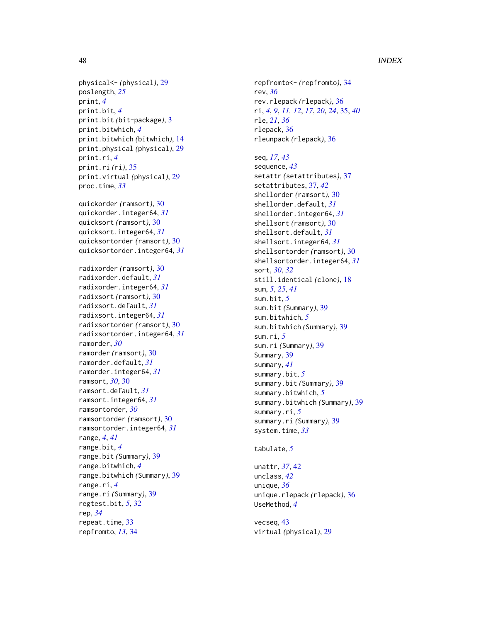#### 48 INDEX

physical<- *(*physical *)* , [29](#page-28-0) poslength , *[25](#page-24-0)* print , *[4](#page-3-0)* print.bit , *[4](#page-3-0)* print.bit *(*bit-package *)* , [3](#page-2-0) print.bitwhich , *[4](#page-3-0)* print.bitwhich *(*bitwhich *)* , [14](#page-13-0) print.physical *(*physical *)* , [29](#page-28-0) print.ri , *[4](#page-3-0)* print.ri *(*ri *)* , [35](#page-34-0) print.virtual *(*physical *)* , [29](#page-28-0) proc.time , *[33](#page-32-0)*

quickorder *(*ramsort *)* , [30](#page-29-0) quickorder.integer64 , *[31](#page-30-0)* quicksort *(*ramsort *)* , [30](#page-29-0) quicksort.integer64 , *[31](#page-30-0)* quicksortorder *(*ramsort *)* , [30](#page-29-0) quicksortorder.integer64 , *[31](#page-30-0)*

radixorder *(*ramsort *)* , [30](#page-29-0) radixorder.default , *[31](#page-30-0)* radixorder.integer64 , *[31](#page-30-0)* radixsort *(*ramsort *)* , [30](#page-29-0) radixsort.default , *[31](#page-30-0)* radixsort.integer64 , *[31](#page-30-0)* radixsortorder *(*ramsort *)* , [30](#page-29-0) radixsortorder.integer64 , *[31](#page-30-0)* ramorder , *[30](#page-29-0)* ramorder *(*ramsort *)* , [30](#page-29-0) ramorder.default , *[31](#page-30-0)* ramorder.integer64 , *[31](#page-30-0)* ramsort , *[30](#page-29-0)* , [30](#page-29-0) ramsort.default , *[31](#page-30-0)* ramsort.integer64 , *[31](#page-30-0)* ramsortorder , *[30](#page-29-0)* ramsortorder *(*ramsort *)* , [30](#page-29-0) ramsortorder.integer64 , *[31](#page-30-0)* range , *[4](#page-3-0)* , *[41](#page-40-0)* range.bit , *[4](#page-3-0)* range.bit *(*Summary *)* , [39](#page-38-0) range.bitwhich , *[4](#page-3-0)* range.bitwhich *(*Summary *)* , [39](#page-38-0) range.ri , *[4](#page-3-0)* range.ri *(*Summary *)* , [39](#page-38-0) regtest.bit , *[5](#page-4-0)* , [32](#page-31-0) rep , *[34](#page-33-0)* repeat.time, [33](#page-32-0) repfromto , *[13](#page-12-0)* , [34](#page-33-0)

repfromto<- *(*repfromto *)* , [34](#page-33-0) rev , *[36](#page-35-0)* rev.rlepack *(*rlepack *)* , [36](#page-35-0) ri , *[4](#page-3-0)* , *[9](#page-8-0)* , *[11](#page-10-0) , [12](#page-11-0)* , *[17](#page-16-0)* , *[20](#page-19-0)* , *[24](#page-23-0)* , [35](#page-34-0) , *[40](#page-39-0)* rle , *[21](#page-20-0)* , *[36](#page-35-0)* rlepack , [36](#page-35-0) rleunpack *(*rlepack *)* , [36](#page-35-0)

seq , *[17](#page-16-0)* , *[43](#page-42-0)* sequence , *[43](#page-42-0)* setattr *(*setattributes *)* , [37](#page-36-0) setattributes , [37](#page-36-0) , *[42](#page-41-0)* shellorder *(*ramsort *)* , [30](#page-29-0) shellorder.default , *[31](#page-30-0)* shellorder.integer64 , *[31](#page-30-0)* shellsort *(*ramsort *)* , [30](#page-29-0) shellsort.default , *[31](#page-30-0)* shellsort.integer64 , *[31](#page-30-0)* shellsortorder *(*ramsort *)* , [30](#page-29-0) shellsortorder.integer64 , *[31](#page-30-0)* sort , *[30](#page-29-0)* , *[32](#page-31-0)* still.identical *(*clone *)* , [18](#page-17-0) sum , *[5](#page-4-0)* , *[25](#page-24-0)* , *[41](#page-40-0)* sum.bit , *[5](#page-4-0)* sum.bit *(*Summary *)* , [39](#page-38-0) sum.bitwhich , *[5](#page-4-0)* sum.bitwhich *(*Summary *)* , [39](#page-38-0) sum.ri , *[5](#page-4-0)* sum.ri *(*Summary *)* , [39](#page-38-0) Summary, [39](#page-38-0) summary , *[41](#page-40-0)* summary.bit , *[5](#page-4-0)* summary.bit *(*Summary *)* , [39](#page-38-0) summary.bitwhich , *[5](#page-4-0)* summary.bitwhich *(*Summary *)* , [39](#page-38-0) summary.ri , *[5](#page-4-0)* summary.ri *(*Summary *)* , [39](#page-38-0) system.time , *[33](#page-32-0)*

#### tabulate , *[5](#page-4-0)*

```
unattr
, 37
, 42
unclass
, 42
unique
, 36
unique.rlepack
(rlepack
)
, 36
UseMethod
,
4
```
vecseq , [43](#page-42-0) virtual *(*physical *)* , [29](#page-28-0)